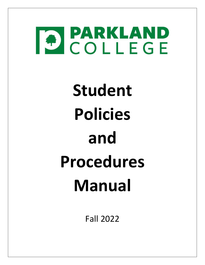

# **Student Policies and Procedures Manual**

Fall 2022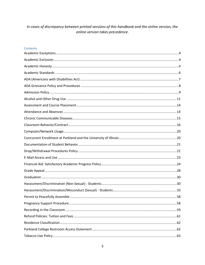## In cases of discrepancy between printed versions of this handbook and the online version, the online version takes precedence.

## Contents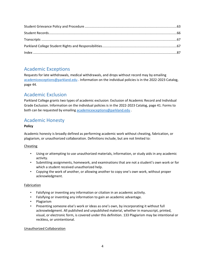# <span id="page-2-0"></span>Academic Exceptions

Requests for late withdrawals, medical withdrawals, and drops without record may by emailing [academicexceptions@parkland.edu](mailto:academicexceptions@parkland.edu) . Information on the individual policies is in the 2022-2023 Catalog, page 44.

# <span id="page-2-1"></span>Academic Exclusion

Parkland College grants two types of academic exclusion: Exclusion of Academic Record and Individual Grade Exclusion. Information on the individual policies is in the 2022-2023 Catalog, page 41. Forms to both can be requested by emailing [academicexceptions@parkland.edu](mailto:academicexceptions@parkland.edu) .

# <span id="page-2-2"></span>Academic Honesty

## **Policy**

Academic honesty is broadly defined as performing academic work without cheating, fabrication, or plagiarism, or unauthorized collaboration. Definitions include, but are not limited to:

## Cheating

- Using or attempting to use unauthorized materials, information, or study aids in any academic activity.
- Submitting assignments, homework, and examinations that are not a student's own work or for which a student received unauthorized help.
- Copying the work of another, or allowing another to copy one's own work, without proper acknowledgment.

## Fabrication

- Falsifying or inventing any information or citation in an academic activity.
- Falsifying or inventing any information to gain an academic advantage.
- Plagiarism
- Presenting someone else's work or ideas as one's own, by incorporating it without full acknowledgment. All published and unpublished material, whether in manuscript, printed, visual, or electronic form, is covered under this definition. 133 Plagiarism may be intentional or reckless, or unintentional.

## Unauthorized Collaboration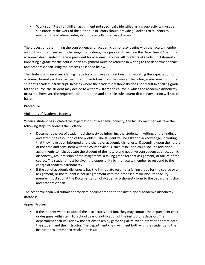• Work submitted to fulfill an assignment not specifically identified as a group activity must be substantially the work of the author. Instructors should provide guidelines to students to maintain the academic integrity of these collaborative activities.

The process of determining the consequences of academic dishonesty begins with the faculty member and, if the student wishes to challenge the findings, may proceed to include the Department Chair, the academic dean, and/or the vice president for academic services. All incidents of academic dishonesty impacting a grade for the course or an assignment must be referred in writing to the department chair and academic dean using the process described below.

The student who receives a failing grade for a course as a direct result of violating the expectations of academic honesty will not be permitted to withdraw from the course. The failing grade remains on the student's academic transcript. In cases where the academic dishonesty does not result in a failing grade for the course, the student may decide to withdraw from the course in which the academic dishonesty occurred; however, the required incident reports and possible subsequent disciplinary action will not be halted.

## **Procedure**

## Violations of Academic Honesty

When a student has violated the expectations of academic honesty, the faculty member will take the following steps to address the violation:

- Document the act of academic dishonesty by informing the student, in writing, of the findings and attempt a resolution of the problem. The student will be asked to acknowledge, in writing, that they have been informed of the charge of academic dishonesty. Depending upon the nature of the case and consistent with the course syllabus, such resolution could include additional assignments to help educate the student of the nature and negative consequences of academic dishonesty, resubmission of the assignment, a failing grade for that assignment, or failure of the course. The student must be given the opportunity by the faculty member to respond to the charge of academic dishonesty.
- If the act of academic dishonesty has the immediate result of a failing grade for the course or an assignment, or the student is not in agreement with the proposed resolution, the faculty member must submit the Documentation of Academic Dishonesty form to the department chair and academic dean.

The academic dean will submit appropriate documentation to the institutional academic dishonesty database.

## Appeal Process

• If the student wants to appeal the instructor's decision, they may contact the department chair or designee within ten (10) school days of notification of the instructor's decision. The department chair will review the actions taken by gathering all relevant information from both the student and the instructor. The department chair will meet both with the student and the instructor to attempt to resolve the issue.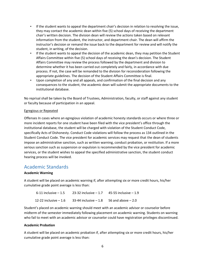- If the student wants to appeal the department chair's decision in relation to resolving the issue, they may contact the academic dean within five (5) school days of receiving the department chair's written decision. The division dean will review the actions taken based on relevant information from the student, the instructor, and department chair. The dean will affirm the instructor's decision or remand the issue back to the department for review and will notify the student, in writing, of the decision.
- If the student wants to appeal the decision of the academic dean, they may petition the Student Affairs Committee within five (5) school days of receiving the dean's decision. The Student Affairs Committee may review the process followed by the department and division to determine whether it has been carried out completely and fairly, in accordance with due process. If not, the case will be remanded to the division for reconsideration following the appropriate guidelines. The decision of the Student Affairs Committee is final.
- Upon completion of any and all appeals, and confirmation of the final decision and any consequences to the student, the academic dean will submit the appropriate documents to the institutional database.

No reprisal shall be taken by the Board of Trustees, Administration, faculty, or staff against any student or faculty because of participation in an appeal.

## Egregious or Repeated

Offenses In cases where an egregious violation of academic honesty standards occurs or where three or more incident reports for one student have been filed with the vice president's office through the institutional database, the student will be charged with violation of the Student Conduct Code, specifically Acts of Dishonesty. Conduct Code violations will follow the process as 134 outlined in the Student Conduct Code. The vice president for academic services may request that the dean of students impose an administrative sanction, such as written warning, conduct probation, or restitution. If a more serious sanction such as suspension or expulsion is recommended by the vice president for academic services, or the student wishes to appeal the specified administrative sanction, the student conduct hearing process will be invoked.

## <span id="page-4-0"></span>Academic Standards

## **Academic Warning**

A student will be placed on academic warning if, after attempting six or more credit hours, his/her cumulative grade point average is less than:

```
6-11 inclusive -1.5 23-32 inclusive -1.7 45-55 inclusive -1.912-22 inclusive -1.6 33-44 inclusive -1.8 56 and above -2.0
```
Student's placed on academic warning should meet with an academic advisor or counselor before midterm of the semester immediately following placement on academic warning. Students on warning who fail to meet with an academic advisor or counselor could have registration privileges discontinued.

## **Academic Probation**

A student will be placed on academic probation if, after attempting six or more credit hours, his/her cumulative grade point average is less than: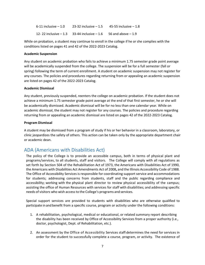6-11 inclusive  $-1.0$  23-32 inclusive  $-1.5$  45-55 inclusive  $-1.8$ 12- 22 inclusive  $- 1.3$  33-44 inclusive  $- 1.6$  56 and above  $- 1.9$ 

While on probation, a student may continue to enroll in the college if he or she complies with the conditions listed on pages 41 and 42 of the 2022-2023 Catalog.

#### **Academic Suspension**

Any student on academic probation who fails to achieve a minimum 1.75 semester grade point average will be academically suspended from the college. The suspension will be for a full semester (fall or spring) following the term of current enrollment. A student on academic suspension may not register for any courses. The policies and procedures regarding returning from or appealing an academic suspension are listed on pages 42 of the 2022-2023 Catalog.

#### **Academic Dismissal**

Any student, previously suspended, reenters the college on academic probation. If the student does not achieve a minimum 1.75 semester grade point average at the end of that first semester, he or she will be academically dismissed. Academic dismissal will be for no less than one calendar year. While on academic dismissal, the student may not register for any courses. The policies and procedure regarding returning from or appealing an academic dismissal are listed on pages 42 of the 2022-2023 Catalog.

#### **Program Dismissal**

A student may be dismissed from a program of study if his or her behavior in a classroom, laboratory, or clinic jeopardizes the safety of others. This action can be taken only by the appropriate department chair or academic dean.

## <span id="page-5-0"></span>ADA (Americans with Disabilities Act)

The policy of the College is to provide an accessible campus, both in terms of physical plant and programs/services, to all students, staff and visitors. The College will comply with all regulations as set forth by Section 504 of the Rehabilitation Act of 1973, the Americans with Disabilities Act of 1990, the Americans with Disabilities Act Amendments Act of 2008**,** and the Illinois Accessibility Code of 1988. The Office of Accessibility Services is responsible for coordinating support service and accommodations for students; addressing concerns from students, staff and the public regarding compliance and accessibility; working with the physical plant director to review physical accessibility of the campus; assisting the office of Human Resources with services for staff with disabilities; and addressing specific needs of visitors who wish accessto the College's programs and services.

Special support services are provided to students with disabilities who are otherwise qualified to participate in and benefit from a specific course, program or activity under the following conditions:

- 1. A rehabilitation, psychological, medical or educational, or related summary report describing the disability has been received by Office of Accessibility Services from a proper authority (i.e., doctor, psychologist, Dept. of Rehabilitation, etc.).
- 2. An assessment by the Office of Accessibility Services staff determines the need for services in order for the student to successfully complete a course, program, or activity. The existence of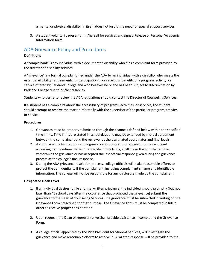a mental or physical disability, in itself, does not justify the need for special support services.

3. A student voluntarily presents him/herself forservices and signs a Release of Personal/Academic Information form.

## <span id="page-6-0"></span>ADA Grievance Policy and Procedures

## **Definitions**

A "complainant" is any individual with a documented disability who files a complaint form provided by the director of disability services.

A "grievance" is a formal complaint filed under the ADA by an individual with a disability who meets the essential eligibility requirements for participation in or receipt of benefits of a program, activity, or service offered by Parkland College and who believes he or she has been subject to discrimination by Parkland College due to his/her disability.

Students who desire to review the ADA regulations should contact the Director of Counseling Services.

If a student has a complaint about the accessibility of programs, activities, or services, the student should attempt to resolve the matter informally with the supervisor of the particular program, activity, or service.

## **Procedures**

- 1. Grievances must be properly submitted through the channels defined below within the specified time limits. Time limits are stated in school days and may be extended by mutual agreement between the complainant and the reviewer at the designated coordinator and final levels.
- 2. A complainant's failure to submit a grievance, or to submit or appeal it to the next level according to procedures, within the specified time limits, shall mean the complainant has withdrawn the grievance or has accepted the last official response given during the grievance process as the college's final response.
- 3. During the ADA grievance resolution process, college officials will make reasonable efforts to protect the confidentiality if the complainant, including complainant's name and identifiable information. The college will not be responsible for any disclosure made by the complainant.

## **Designated Dean Level**

- 1. If an individual desires to file a formal written grievance, the individual should promptly (but not later than 45 school days after the occurrence that prompted the grievance) submit the grievance to the Dean of Counseling Services. The grievance must be submitted in writing on the Grievance Form prescribed for that purpose. The Grievance Form must be completed in full in order to receive proper consideration.
- 2. Upon request, the Dean or representative shall provide assistance in completing the Grievance Form.
- 3. A college official appointed by the Vice President for Student Services, will investigate the grievance and make reasonable efforts to resolve it. A written response will be provided to the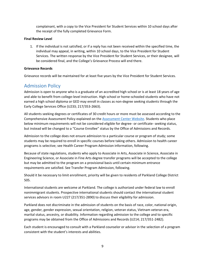complainant, with a copy to the Vice President for Student Services within 10 school days after the receipt of the fully completed Grievance Form.

## **Final Review Level**

1. If the individual is not satisfied, or if a reply has not been received within the specified time, the individual may appeal, in writing, within 10 school days, to the Vice President for Student Services. The written response by the Vice President for Student Services, or their designee, will be considered final, and the College's Grievance Process will end there.

## **Grievance Records**

Grievance records will be maintained for at least five years by the Vice President for Student Services.

## <span id="page-7-0"></span>Admission Policy

Admission is open to anyone who is a graduate of an accredited high school or is at least 18 years of age and able to benefit from college-level instruction. High school or home-schooled students who have not earned a high school diploma or GED may enroll in classes as non-degree seeking students through the Early College Services Office (U233; 217/353-2663).

All students seeking degrees or certificates of 30 credit hours or more must be assessed according to the Comprehensive Assessment Policy explained on th[e Assessment Center Website.](https://www.parkland.edu/Main/About-Parkland/Department-Office-Directory/Assessment-Center/Placement-Tests) Students who place below minimum requirements will not be considered eligible for degree- or certificate- seeking status, but instead will be changed to a "Course Enrollee" status by the Office of Admissions and Records.

Admission to the college does not ensure admission to a particular course or program of study; some students may be required to enroll in specific courses before taking others. Admission to health career programs is selective; see Health Career Program Admission information, following.

Because of state regulations, students who apply to Associate in Arts, Associate in Science, Associate in Engineering Science, or Associate in Fine Arts degree transfer programs will be accepted to the college but may be admitted to the program on a provisional basis until certain minimum entrance requirements are satisfied. See Transfer Program Admission, following.

Should it be necessary to limit enrollment, priority will be given to residents of Parkland College District 505.

International students are welcome at Parkland. The college is authorized under federal law to enroll nonimmigrant students. Prospective international students should contact the international student services advisors in room U227 (217/351-2890) to discuss their eligibility for admission.

Parkland does not discriminate in the admission of students on the basis of race, color, national origin, age, gender, gender expression, sexual orientation, religion, veteran status, Vietnam veteran era, marital status, ancestry, or disability. Information regarding admission to the college and to specific programs may be obtained from the Office of Admissions and Records (U214; 217/351-2482).

Each student is encouraged to consult with a Parkland counselor or advisor in the selection of a program consistent with the student's interests and abilities.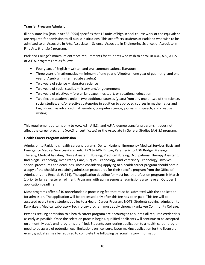## **Transfer Program Admission**

Illinois state law (Public Act 86-0954) specifies that 15 units of high school course work or the equivalent are required for admission to all public institutions. This act affects students at Parkland who wish to be admitted to an Associate in Arts, Associate in Science, Associate in Engineering Science, or Associate in Fine Arts (transfer) program.

Parkland College's minimum entrance requirements for students who wish to enroll in A.A., A.S., A.E.S., or A.F.A. programs are as follows

- Four years of English written and oral communications, literature
- Three years of mathematics minimum of one year of Algebra I, one year of geometry, and one year of Algebra II (intermediate algebra)
- Two years of science laboratory science
- Two years of social studies history and/or government
- Two years of electives foreign language, music, art, or vocational education
- Two flexible academic units two additional courses (years) from any one or two of the science, social studies, and/or electives categories in addition to approved courses in mathematics and English such as advanced mathematics, computer science, journalism, speech, and creative writing.

This requirement pertains only to A.A., A.S., A.E.S., and A.F.A. degree transfer programs; it does not affect the career programs (A.A.S. or certificates) or the Associate in General Studies (A.G.S.) program.

## **Health Career Program Admission**

Admission to Parkland's health career programs (Dental Hygiene, Emergency Medical Services-Basic and Emergency Medical Services-Paramedic, LPN to ADN Bridge, Paramedic to ADN Bridge, Massage Therapy, Medical Assisting, Nurse Assistant, Nursing, Practical Nursing, Occupational Therapy Assistant, Radiologic Technology, Respiratory Care, Surgical Technology, and Veterinary Technology) involves special procedures and deadlines. Those considering applying to a health career program should obtain a copy of the checklist explaining admission procedures for their specific program from the Office of Admissions and Records (U214). The application deadline for most health profession programs is March 1 prior to fall semester enrollment. Programs with spring semester admissions also have an October 1 application deadline.

Most programs offer a \$10 nonrefundable processing fee that must be submitted with the application for admission. The application will be processed only after this fee has been paid. This fee will be assessed every time a student applies to a Health Career Program. NOTE: Students seeking admission to Kankakee's Medical Laboratory Technology program must apply through Kankakee Community College.

Persons seeking admission to a health career program are encouraged to submit all required credentials as early as possible. Once the selection process begins, qualified applicants will continue to be accepted on a monthly basis until programs are filled. Students considering application to a health career program need to be aware of potential legal limitations on licensure. Upon making application for the licensure exam, graduates may be required to complete the following personal history information: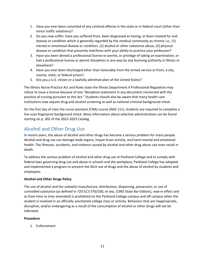- 1. Have you ever been convicted of any criminal offense in the state or in federal court (other than minor traffic violations)?
- 2. Do you now suffer, have you suffered from, been diagnosed as having, or been treated for and disease or condition which is generally regarded by the medical community as chronic i.e., (1) mental or emotional disease or condition, (2) alcohol or other substance abuse, (3) physical disease or condition that presently interferes with your ability to practice your profession?
- 3. Have you been denied a professional license or permit, or privilege of taking an examination, or had a professional license or permit disciplines in any way by any licensing authority in Illinois or elsewhere?
- 4. Have you ever been discharged other than honorably from the armed service or from, a city, county, state, or federal prison?
- 5. Are you a U.S. citizen or a lawfully admitted alien of the United States?

The Illinois Nurse Practice Act and Rules state the Illinois Department if Professional Regulation may refuse to issue a license because of any "deceptive statement in any document connected with the practice of nursing pursuant to this Act." Students should also be aware that many health care institutions now require drug and alcohol screening as well as national criminal background check.

On the first day of class the nurse assistant (CNA) course (NAS 111), students are required to complete a live scan fingerprint background check. More information about selective administration can be found starting on p. 202 of the 2022-2023 Catalog.

# <span id="page-9-0"></span>Alcohol and Other Drug Use

In recent years, the abuse of alcohol and other drugs has become a serious problem for many people. Alcohol and drug use van damage body organs, impair brain activity, and harm mental and emotional health. The illnesses, accidents, and violence caused by alcohol and other drug abuse can even result in death.

To address the serious problem of alcohol and other drug use at Parkland College and to comply with federal laws governing drug use and abuse in schools and the workplace, Parkland College has adopted and implemented a program to prevent the illicit use of drugs and the abuse of alcohol by students and employees.

## **Alcohol and Other Drugs Policy**

The use of alcohol and the unlawful manufacture, distribution, dispensing, possession, or use of controlled substance (as defined in 720 ILCS 570/100, et seq. [1992 State Bar Edition], now in effect and as from time to time amended) is prohibited on the Parkland College campus and off campus when the student is involved in an officially sanctioned college class or activity. Behaviors that are inappropriate, disruptive, and/or endangering as a result of the consumption of alcohol or other drugs will not be tolerated.

## **Procedure**

1. Enforcement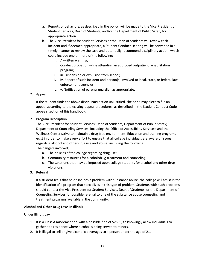- a. Reports of behaviors, as described in the policy, will be made to the Vice President of Student Services, Dean of Students, and/or the Department of Public Safety for appropriate action.
- b. The Vice President for Student Services or the Dean of Students will review each incident and if deemed appropriate, a Student Conduct Hearing will be convened in a timely manner to review the case and potentially recommend disciplinary action, which could include one or more of the following:
	- i. A written warning;
	- ii. Conduct probation while attending an approved outpatient rehabilitation program;
	- iii. iii. Suspension or expulsion from school;
	- iv. iv. Report of such incident and person(s) involved to local, state, or federal law enforcement agencies;
	- v. v. Notification of parent/ guardian as appropriate.
- 2. Appeal

If the student finds the above disciplinary action unjustified, she or he may elect to file an appeal according to the existing appeal procedures, as described in the Student Conduct Code appeals section of this handbook.

2. Program Description

The Vice President for Student Services; Dean of Students; Department of Public Safety; Department of Counseling Services, including the Office of Accessibility Services; and the Wellness Center strive to maintain a drug-free environment. Education and training programs exist in order to make every effort to ensure that all college individuals are aware of issues regarding alcohol and other drug use and abuse, including the following: The dangers involved;

- a. The policies of the college regarding drug use;
- b. Community resources for alcohol/drug treatment and counseling;
- c. The sanctions that may be imposed upon college students for alcohol and other drug violations.
- 3. Referral

If a student feels that he or she has a problem with substance abuse, the college will assist in the identification of a program that specializes in this type of problem. Students with such problems should contact the Vice President for Student Services, Dean of Students, or the Department of Counseling Services for possible referral to one of the substance abuse counseling and treatment programs available in the community.

## **Alcohol and Other Drug Laws in Illinois**

Under Illinois Law:

- 1. It is a Class A misdemeanor, with a possible fine of \$2500, to knowingly allow individuals to gather at a residence where alcohol is being served to minors.
- 2. It is illegal to sell or give alcoholic beverages to a person under the age of 21.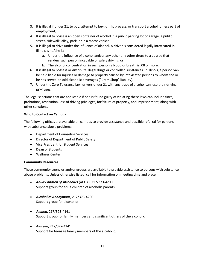- 3. It is illegal if under 21, to buy, attempt to buy, drink, process, or transport alcohol (unless part of employment).
- 4. It is illegal to possess an open container of alcohol in a public parking lot or garage, a public street, sidewalk, alley, park, or in a motor vehicle.
- 5. It is illegal to drive under the influence of alcohol. A driver is considered legally intoxicated in Illinois is he/she is:
	- a. Under the influence of alcohol and/or any other any other drugs to a degree that renders such person incapable of safely driving; or
	- b. The alcohol concentration in such person's blood or breath is .08 or more.
- 6. It is illegal to possess or distribute illegal drugs or controlled substances. In Illinois, a person van be held liable for injuries or damage to property caused by intoxicated persons to whom she or he has served or sold alcoholic beverages ("Dram Shop" liability).
- 7. Under the Zero Tolerance law, drivers under 21 with any trace of alcohol can lose their driving privileges.

The legal sanctions that are applicable if one is found guilty of violating these laws can include fines, probations, restitution, loss of driving privileges, forfeiture of property, and imprisonment, along with other sanctions.

## **Who to Contact on Campus**

The following offices are available on campus to provide assistance and possible referral for persons with substance abuse problems:

- Department of Counseling Services
- Director of Department of Public Safety
- Vice President for Student Services
- Dean of Students
- Wellness Center

## **Community Resources**

These community agencies and/or groups are available to provide assistance to persons with substance abuse problems. Unless otherwise listed, call for information on meeting time and place.

- *Adult Children of Alcoholics* (ACOA), 217/373-4200 Support group for adult children of alcoholic parents.
- *Alcoholics Anonymous*, 217/373-4200 Support group for alcoholics.
- *Alanon*, 217/373-4141 Support group for family members and significant others of the alcoholic
- *Alateen*, 217/377-4141 Support for teenage family members of the alcoholic.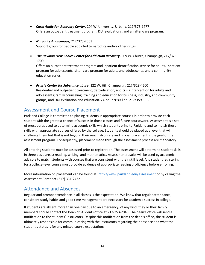- *Carle Addiction Recovery Center*, 204 W. University, Urbana, 217/373-1777 Offers an outpatient treatment program, DUI evaluations, and an after-care program.
- *Narcotics Anonymous*, 217/373-2063 Support group for people addicted to narcotics and/or other drugs.
- *The Pavilion New Choice Center for Addiction Recovery*, 809 W. Church, Champaign, 217/373- 1700

Offers an outpatient treatment program and inpatient detoxification service for adults, inpatient program for adolescents, after-care program for adults and adolescents, and a community education series.

• *Prairie Center for Substance abuse*, 122 W. Hill, Champaign, 217/328-4500 Residential and outpatient treatment, detoxification, and crisis intervention for adults and adolescents; family counseling; training and education for business, industry, and community groups; and DUI evaluation and education. 24-hour crisis line: 217/359-1160

## <span id="page-12-0"></span>Assessment and Course Placement

Parkland College is committed to placing students in appropriate courses in order to provide each student with the greatest chance of success in those classes and future coursework. Assessment is a set of procedures used to determine academic skills which students bring to Parkland and to match those skills with appropriate courses offered by the college. Students should be placed at a level that will challenge them but that is not beyond their reach. Accurate and proper placement is the goal of the assessment program. Consequently, placement made through the assessment process are mandatory.

All entering students must be assessed prior to registration. The assessment will determine student skills in three basic areas; reading, writing, and mathematics. Assessment results will be used by academic advisors to match students with courses that are consistent with their skill level. Any student registering for a college-level course must provide evidence of appropriate reading proficiency before enrolling.

More information on placement can be found at:<http://www.parkland.edu/assessment> or by calling the Assessment Center at (217) 351-2432

## <span id="page-12-1"></span>Attendance and Absences

Regular and prompt attendance in all classes is the expectation. We know that regular attendance, consistent study habits and good time management are necessary for academic success in college.

If students are absent more than one day due to an emergency, of any kind, they or their family members should contact the Dean of Students office at 217-353-2048. The dean's office will send a notification to the students' instructors. Despite this notification from the dean's office, the student is ultimately responsible for communicating with the instructors regarding their absence and what the student's status is for any missed course expectations.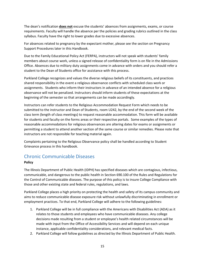The dean's notification **does not** excuse the students' absences from assignments, exams, or course requirements. Faculty will handle the absence per the policies and grading rubrics outlined in the class syllabus. Faculty have the right to lower grades due to excessive absences.

For absences related to pregnancy by the expectant mother, please see the section on Pregnancy Support Procedures later in this Handbook.

Due to the Family Educational Policy Act (FERPA), instructors will not speak with students' family members about course work, unless a signed release of confidentiality form is on file in the Admissions Office. Absences due to military duty assignments come in advance with orders and you should refer a student to the Dean of Students office for assistance with this process.

Parkland College recognizes and values the diverse religious beliefs of its constituents, and practices shared responsibility in the event a religious observance conflicts with scheduled class work or assignments. Students who inform their instructors in advance of an intended absence for a religious observance will not be penalized. Instructors should inform students of these expectations at the beginning of the semester so that arrangements can be made accordingly.

Instructors can refer students to the Religious Accommodation Request Form which needs to be submitted to the instructor and Dean of Students, room U242, by the end of the second week of the class term (length of class meetings) to request reasonable accommodation. This form will be available for students and faculty on the forms areas or their respective portals. Some examples of the types of reasonable accommodations for religious observances are altering dates for exams or assignments or permitting a student to attend another section of the same course or similar remedies. Please note that instructors are not responsible for teaching material again.

Complaints pertaining to the Religious Observance policy shall be handled according to Student Grievance process in this handbook.

## <span id="page-13-0"></span>Chronic Communicable Diseases

## **Policy**

The Illinois Department of Public Health (IDPH) has specified diseases which are contagious, infectious, communicable, and dangerous to the public health in Section 690.100 of the Rules and Regulations for the Control of Communicable diseases. The purpose of this policy is to insure College Compliance with those and other existing state and federal rules, regulations, and laws.

Parkland College places a high priority on protecting the health and safety of its campus community and aims to reduce communicable disease exposure risk without unlawfully discriminating in enrollment or employment practices. To that end, Parkland College will adhere to the following guidelines:

- 1. Parkland College will be in full compliance with the Americans with Disabilities Act (ADA) as it relates to those students and employees who have communicable diseases. Any college decisions made resulting from a student or employee's health related circumstances will be made with input from the Office of Accessibility Services and will depend on each unique instance, applicable confidentiality considerations, and relevant medical facts.
- 2. Parkland College will follow guidelines as directed by the Illinois Department of Public Health.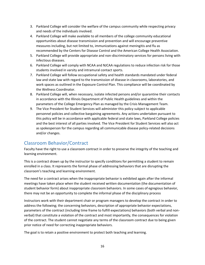- 3. Parkland College will consider the welfare of the campus community while respecting privacy and needs of the individuals involved.
- 4. Parkland College will make available to all members of the college community educational opportunities about disease transmission and prevention and will encourage preventive measures including, but not limited to, immunizations against meningitis and flu as recommended by the Centers for Disease Control and the American College Health Association.
- 5. Parkland College will provide appropriate and non-discriminatory services for persons living with infectious diseases.
- 6. Parkland College will comply with NCAA and NJCAA regulations to reduce infection risk for those students involved in varsity and intramural contact sports.
- 7. Parkland College will follow occupational safety and health standards mandated under federal law and state law with regard to the transmission of disease in classrooms, laboratories, and work spaces as outlined in the Exposure Control Plan. This compliance will be coordinated by the Wellness Coordinator.
- 8. Parkland College will, when necessary, isolate infected persons and/or quarantine their contacts in accordance with the Illinois Department of Public Health guidelines and within the parameters of the College Emergency Plan as managed by the Crisis Management Team.
- 9. The Vice President for Student Services will administer this policy subject to applicable personnel policies and collective bargaining agreements. Any actions undertaken pursuant to this policy will be in accordance with applicable federal and state laws, Parkland College policies and the best interest of all parties involved. The Vice President for Student Services will also act as spokesperson for the campus regarding all communicable disease policy-related decisions and/or changes.

## <span id="page-14-0"></span>Classroom Behavior/Contract

Faculty have the right to use a classroom contract in order to preserve the integrity of the teaching and learning environment.

This is a contract drawn up by the instructor to specify conditions for permitting a student to remain enrolled in a class. It represents the formal phase of addressing behaviors that are disrupting the classroom's teaching and learning environment.

The need for a contract arises when the inappropriate behavior is exhibited again after the informal meetings have taken place when the student received written documentation (the documentation of student behavior form) about inappropriate classroom behaviors. In some cases of egregious behavior, there may not be an opportunity to complete the informal phase of the disciplinary process

Instructors work with their department chair or program managers to develop the contract in order to address the following; the concerning behaviors, description of appropriate behavior expectations, parameters of the contract (including time frame to fulfill expectations) behaviors (both verbal and nonverbal) that constitute a violation of the contract and most importantly, the consequences for violation of the contract. The student cannot negotiate any terms of the classroom contract due to being given prior notice of need for correcting inappropriate behaviors.

The goal is to retain a positive environment to protect both teaching and learning.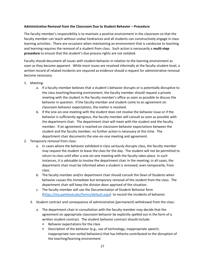## **Administrative Removal from the Classroom Due to Student Behavior – Procedure**

The faculty member's responsibility is to maintain a positive environment in the classroom so that the faculty member can teach without undue hindrances and all students can constructively engage in class learning activities. There are occasions when maintaining an environment that is conducive to teaching and learning requires the removal of a student from class. Such action is necessarily a **multi-step procedure** to ensure that the student's due process rights are not violated.

Faculty should document all issues with student behavior in relation to the learning environment as soon as they become apparent. While most issues are resolved informally at the faculty-student level, a written record of related incidents are required as evidence should a request for administrative removal become necessary.

- 1. Meeting:
	- a. If a faculty member believes that a student's behavior disrupts or is potentially disruptive to the class teaching/learning environment, the faculty member should request a private meeting with the student in the faculty member's office as soon as possible to discuss the behavior in question. If the faculty member and student come to an agreement on classroom behavior expectations, the matter is resolved.
	- b. If the one-on-one meeting with the student does not resolve the behavior issue or if the behavior is sufficiently egregious, the faculty member will consult as soon as possible with the department chair. The department chair will meet with the student and the faculty member. If an agreement is reached on classroom behavior expectations between the student and the faculty member, no further action is necessary at this time. The department chair documents the one-on-one meeting and agreement.
- 2. Temporary removal from class:
	- a. In cases where the behavior exhibited in class seriously disrupts class, the faculty member may request the student to leave the class for the day. The student will not be permitted to return to class until after a one-on-one meeting with the faculty takes place. In such instances, it is advisable to involve the department chair in the meeting; in all cases, the department chair must be informed when a student is removed, even temporarily, from class.
	- b. The faculty member and/or department chair should consult the Dean of Students when behavior causes the immediate but temporary removal of the student from the class. The department chair will keep the division dean apprised of the situation.
	- c. The faculty member will use the Documentation of Student Behavior form [\(https://my.parkland.edu/forms/default.aspx\)](https://my.parkland.edu/forms/default.aspx) to record the incidents of behavior.
	- 3. Student contract and consequence of administrative (permanent) withdrawal from the class:
		- a. The department chair in consultation with the faculty member may decide that the agreement on appropriate classroom behavior be explicitly spelled out in the form of a written student contract. The student behavior contract should include:
			- Behavior expectations for the class
			- Description of the behavior (e.g., use of technology; inappropriate speech; inappropriate non-verbal behaviors) that has hitherto contributed to the disruption of the teaching/learning environment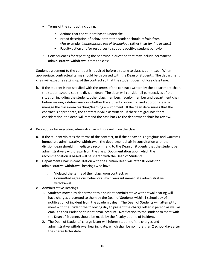- Terms of the contract including:
	- Actions that the student has to undertake
	- Broad description of behavior that the student should refrain from (For example, *inappropriate use of technology* rather than *texting in class*)
	- Faculty action and/or resources to support positive student behavior
- Consequences for repeating the behavior in question that may include permanent administrative withdrawal from the class

Student agreement to the contract is required before a return to class is permitted. When appropriate, contractual terms should be discussed with the Dean of Students. The department chair will expedite setting up of the contract so that the student does not lose class time.

- b. If the student is not satisfied with the terms of the contract written by the department chair, the student should see the division dean. The dean will consider all perspectives of the situation including the student, other class members, faculty member and department chair before making a determination whether the student contract is used appropriately to manage the classroom teaching/learning environment. If the dean determines that the contract is appropriate, the contract is valid as written. If there are grounds for reconsideration, the dean will remand the case back to the department chair for review.
- 4. Procedures for executing administrative withdrawal from the class
	- a. If the student violates the terms of the contract, or if the behavior is egregious and warrants immediate administrative withdrawal, the department chair in consultation with the division dean should immediately recommend to the Dean of Students that the student be administratively withdrawn from the class. Documentation upon which the recommendation is based will be shared with the Dean of Students.
	- b. Department Chair in consultation with the Division Dean will refer students for administrative withdrawal hearings who have:
		- i. Violated the terms of their classroom contract, or
		- ii. Committed egregious behaviors which warrant immediate administrative withdrawal.
	- c. Administrative Hearings
		- 1. Students moved by department to a student administrative withdrawal hearing will have charges presented to them by the Dean of Students within 1 school day of notification of incident from the academic dean. The Dean of Students will attempt to meet with the student the following day to present the charge letter in person as well as email to their Parkland student email account. Notification to the student to meet with the Dean of Students should be made by the faculty at time of incident.
		- 2. The Dean of Students' charge letter will inform student of the charges and administrative withdrawal hearing date, which shall be no more than 2 school days after the charge letter date.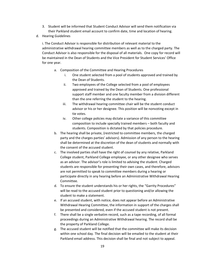- 3. Student will be informed that Student Conduct Advisor will send them notification via their Parkland student email account to confirm date, time and location of hearing.
- d. Hearing Guidelines

i. The Conduct Advisor is responsible for distribution of relevant material to the administrative withdrawal hearing committee members as well as to the charged party. The Conduct Advisor is also responsible for the disposal of all materials. One copy for record will be maintained in the Dean of Students and the Vice President for Student Services' Office for one year.

- a. Composition of the Committee and Hearing Procedures
	- i. One student selected from a pool of students approved and trained by the Dean of Students.
	- ii. Two employees of the College selected from a pool of employees approved and trained by the Dean of Students. One professional support staff member and one faculty member from a division different than the one referring the student to the hearing.
	- iii. The withdrawal hearing committee chair will be the student conduct advisor or his or her designee. This position will be nonvoting except in tie votes.
	- iv. Other college policies may dictate a variance of this committee composition to include specially trained members – both faculty and students. Composition is dictated by that policies procedure.
- b. The hearing shall be private, (restricted to committee members, the charged party and the charges parties' advisors). Admission of any person to the hearing shall be determined at the discretion of the dean of students and normally with the consent of the accused student.
- c. The involved parties shall have the right of counsel by any relative, Parkland College student, Parkland College employee, or any other designee who serves as an advisor. The advisor's role is limited to advising the student. Charged students are responsible for presenting their own cases, and therefore, advisors are not permitted to speak to committee members during a hearing or participate directly in any hearing before an Administrative Withdrawal Hearing Committee.
- d. To ensure the student understands his or her rights, the "Garrity Procedures" will be read to the accused student prior to questioning and/or allowing the student to make a statement.
- e. If an accused student, with notice, does not appear before an Administrative Withdrawal Hearing Committee, the information in support of the charges shall be presented and considered, even if the accused student is not present.
- f. There shall be a single verbatim record, such as a tape recording, of all formal proceedings during an Administrative Withdrawal hearing. The record shall be the property of Parkland College.
- g. The accused student will be notified that the committee will make its decision within one school day. The final decision will be emailed to the student at their Parkland email address. This decision shall be final and not subject to appeal.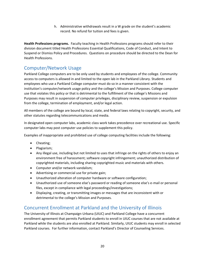h. Administrative withdrawals result in a W grade on the student's academic record. No refund for tuition and fees is given.

**Health Professions programs.** Faculty teaching in Health Professions programs should refer to their division document titled Health Professions Essential Qualifications, Code of Conduct, and Intent to Suspend or Dismiss Policy and Procedures. Questions on procedure should be directed to the Dean for Health Professions.

# <span id="page-18-0"></span>Computer/Network Usage

Parkland College computers are to be only used by students and employees of the college. Community access to computers is allowed in and limited to the open lab in the Parkland Library. Students and employees who use a Parkland College computer must do so in a manner consistent with the institution's computer/network usage policy and the college's Mission and Purposes. College computer use that violates this policy or that is detrimental to the fulfillment of the college's Missions and Purposes may result in suspension of computer privileges, disciplinary review, suspension or expulsion from the college, termination of employment, and/or legal action.

All members of the college are bound by local, state, and federal laws relating to copyright, security, and other statutes regarding telecommunications and media.

In designated open computer labs, academic class work takes precedence over recreational use. Specific computer labs may post computer use policies to supplement this policy.

Examples of inappropriate and prohibited use of college computing facilities include the following:

- Cheating;
- Plagiarism;
- Any illegal use, including but not limited to uses that infringe on the rights of others to enjoy an environment free of harassment; software copyright infringement; unauthorized distribution of copyrighted materials, including sharing copyrighted music and materials with others.
- Computer and/or network vandalism;
- Advertising or commercial use for private gain;
- Unauthorized alteration of computer hardware or software configuration;
- Unauthorized use of someone else's password or reading of someone else's e-mail or personal files, except in compliance with legal proceedings/investigations;
- Displaying, creating, or transmitting images or messages that are inconsistent with or detrimental to the college's Mission and Purposes.

## <span id="page-18-1"></span>Concurrent Enrollment at Parkland and the University of Illinois

The University of Illinois at Champaign-Urbana (UIUC) and Parkland College have a concurrent enrollment agreement that permits Parkland students to enroll in UIUC courses that are not available at Parkland while the students are also enrolled at Parkland. Similarly, UIUC students may enroll in selected Parkland courses. For further information, contact Parkland's Director of Counseling Services.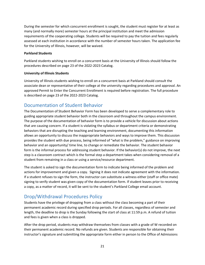During the semester for which concurrent enrollment is sought, the student must register for at least as many (and normally more) semester hours at the principal institution and meet the admission requirements of the cooperating college. Students will be required to pay the tuition and fees regularly assessed at each institution in accordance with the number of semester hours taken. The application fee for the University of Illinois, however, will be waived.

## **Parkland Students**

Parkland students wishing to enroll on a concurrent basis at the University of Illinois should follow the procedures described on page 23 of the 2022-2023 Catalog.

## **University of Illinois Students**

University of Illinois students wishing to enroll on a concurrent basis at Parkland should consult the associate dean or representative of their college at the university regarding procedures and approval. An approved Permit to Enter the Concurrent Enrollment is required before registration. The full procedure is described on page 23 of the 2022-2023 Catalog.

## <span id="page-19-0"></span>Documentation of Student Behavior

The Documentation of Student Behavior Form has been developed to serve a complementary role to guiding appropriate student behavior both in the classroom and throughout the campus environment. The purpose of the documentation of behavior form is to provide a vehicle for discussion about actions that are causing concern. If a student is violating the syllabus or department criteria or demonstrating behaviors that are disrupting the teaching and learning environment, documenting this information allows an opportunity to discuss the inappropriate behaviors and ways to improve them. This discussion provides the student with due process, being informed of "what is the problem," guidance on improving behavior and an opportunity/ time line, to change or remediate the behavior. The student behavior form is the informal process for addressing student behavior. If the behavior(s) do not improve, the next step is a classroom contract which is the formal step a department takes when considering removal of a student from remaining in a class or using a service/resource department.

The student is asked to sign the documentation form to indicate being informed of the problem and actions for improvement and given a copy. Signing it does not indicate agreement with the information. If a student refuses to sign the form, the instructor can substitute a witness either (staff or office mate) signing to verify student was given copy of the documentation form. If student leaves prior to receiving a copy, as a matter of record, it will be sent to the student's Parkland College email account.

# <span id="page-19-1"></span>Drop/Withdrawal Procedures Policy

Students have the privilege of dropping from a class without the class becoming a part of their permanent academic record during specified drop periods. For all classes, regardless of semester and length, the deadline to drop is the Sunday following the start of class at 11:59 p.m. A refund of tuition and fees is given when a class is dropped.

After the drop period, students may withdraw themselves from classes with a grade of W recorded on their permanent academic record. No refunds are given. Students are responsible for obtaining their instructor's signature and submitting the appropriate form either in person to the Office of Admissions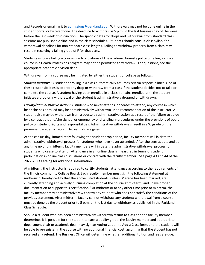and Records or emailing it to [admissions@parkland.edu.](mailto:admissions@parkland.edu.%20%20Withdrawals) Withdrawals may not be done online in the student portal or by telephone. The deadline to withdraw is 5 p.m. in the last business day of the week before the last week of instruction. The specific dates for drops and withdrawal from standard class sessions are published online and in the class schedules. Students should consult class syllabi for withdrawal deadlines for non-standard class lengths. Failing to withdraw properly from a class may result in receiving a failing grade of F for that class.

Students who are failing a course due to violations of the academic honesty policy or failing a clinical course in a Health Professions program may not be permitted to withdraw. For questions, see the appropriate academic division dean.

Withdrawal from a course may be initiated by either the student or college as follows.

*Student Initiative:* A student enrolling in a class automatically assumes certain responsibilities. One of these responsibilities is to properly drop or withdraw from a class if the student decides not to take or complete the course. A student having been enrolled in a class, remains enrolled until the student initiates a drop or a withdrawal or the student is administratively dropped or withdrawn.

*Faculty/administrative Action:* A student who never attends, or ceases to attend, any course in which he or she has enrolled may be administratively withdrawn upon recommendation of the instructor. A student also may be withdrawn from a course by administrative action as a result of the failure to abide by a contract that he/she signed, or emergency or disciplinary procedures under the provisions of board policy on student rights and responsibilities. Administrative withdrawals result in a W grade on the permanent academic record. No refunds are given.

At the census day, immediately following the student drop period, faculty members will initiate the administrative withdrawal process for students who have never attended. After the census date and at any time up until midterm, faculty members will initiate the administrative withdrawal process for students who cease to attend. Attendance in an online class is measured in terms of student participation in online class discussions or contact with the faculty member. See page 43 and 44 of the 2022-2023 Catalog for additional information.

At midterm, the instructor is required to certify students' attendance according to the requirements of the Illinois community College Board. Each faculty member must sign the following statement at midterm: "I hereby certify that the above listed students, unless W grade has been marked, are currently attending and actively pursuing completion at the course at midterm, and I have proper documentation to support this certification." At midterm or at any other time prior to midterm, the faculty member may administratively withdraw any student who does not satisfy the conditions of the previous statement. After midterm, faculty cannot withdraw any student; withdrawal from a course must be done by the student prior to 5 p.m. on the last day to withdraw as published in the Parkland Class Schedule.

Should a student who has been administratively withdrawn return to class and the faculty member determines it is possible for the student to earn a quality grade, the faculty member and appropriate department chair or academic dean may sign an Authorization to Add a Class form, and the student will be able to re-register in the course with no additional financial cost, assuming that the student has not received any refund. The Business Office will determine whether additional tuition and fees are due.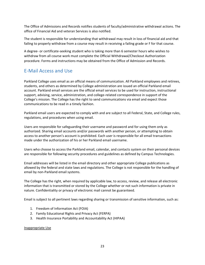The Office of Admissions and Records notifies students of faculty/administrative withdrawal actions. The office of Financial Aid and veteran Services is also notified.

The student is responsible for understanding that withdrawal may result in loss of financial aid and that failing to properly withdraw from a course may result in receiving a failing grade or F for that course.

A degree- or certificate-seeking student who is taking more than 6 semester hours who wishes to withdraw from all course work must complete the Official Withdrawal/Checkout Authorization procedure. Forms and instructions may be obtained from the Office of Admission and Records.

## <span id="page-21-0"></span>E-Mail Access and Use

Parkland College uses email as an official means of communication. All Parkland employees and retirees, students, and others as determined by College administration are issued an official Parkland email account. Parkland email services are the official email services to be used for instruction, instructional support, advising, service, administration, and college-related correspondence in support of the College's mission. The College has the right to send communications via email and expect those communications to be read in a timely fashion.

Parkland email users are expected to comply with and are subject to all Federal, State, and College rules, regulations, and procedures when using email.

Users are responsible for safeguarding their username and password and for using them only as authorized. Sharing email accounts and/or passwords with another person, or attempting to obtain access to another person's account is prohibited. Each user is responsible for all email transactions made under the authorization of his or her Parkland email username.

Users who choose to access the Parkland email, calendar, and contacts system on their personal devices are responsible for following security procedures and guidelines as defined by Campus Technologies.

Email addresses will be listed in the email directory and other appropriate College publications as allowed by the federal and state laws and regulations. The College is not responsible for the handling of email by non-Parkland email systems.

The College has the right, when required by applicable law, to access, review, and release all electronic information that is transmitted or stored by the College whether or not such information is private in nature. Confidentiality or privacy of electronic mail cannot be guaranteed.

Email is subject to all pertinent laws regarding sharing or transmission of sensitive information, such as:

- 1. Freedom of Information Act (FOIA)
- 2. Family Educational Rights and Privacy Act (FERPA)
- 3. Health Insurance Portability and Accountability Act (HIPAA)

## Inappropriate Use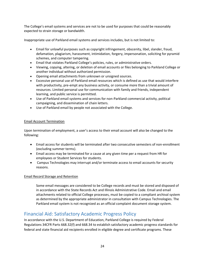The College's email systems and services are not to be used for purposes that could be reasonably expected to strain storage or bandwidth.

Inappropriate use of Parkland email systems and services includes, but is not limited to:

- Email for unlawful purposes such as copyright infringement, obscenity, libel, slander, fraud, defamation, plagiarism, harassment, intimidation, forgery, impersonation, soliciting for pyramid schemes, and computer tampering.
- Email that violates Parkland College's policies, rules, or administrative orders.
- Viewing, copying, altering, or deletion of email accounts or files belonging to Parkland College or another individual without authorized permission.
- Opening email attachments from unknown or unsigned sources.
- Excessive personal use of Parkland email resources which is defined as use that would interfere with productivity, pre-empt any business activity, or consume more than a trivial amount of resources. Limited personal use for communication with family and friends, independent learning, and public service is permitted.
- Use of Parkland email systems and services for non-Parkland commercial activity, political campaigning, and dissemination of chain letters.
- Use of Parkland email by people not associated with the College.

## Email Account Termination

Upon termination of employment, a user's access to their email account will also be changed to the following:

- Email access for students will be terminated after two consecutive semesters of non-enrollment (excluding summer terms).
- Email access may be terminated for a cause at any given time per a request from HR for employees or Student Services for students.
- Campus Technologies may interrupt and/or terminate access to email accounts for security reasons.

## Email Record Storage and Retention

Some email messages are considered to be College records and must be stored and disposed of in accordance with the State Records Act and Illinois Administrative Code. Email and email attachments related to official College processes, must be copied to a compliant archival system as determined by the appropriate administrator in consultation with Campus Technologies. The Parkland email system is not recognized as an official complaint document storage system.

## <span id="page-22-0"></span>Financial Aid: Satisfactory Academic Progress Policy

In accordance with the U.S. Department of Education, Parkland College is required by Federal Regulations 34CFR Parts 668.32(f) and 668.34 to establish satisfactory academic progress standards for federal and state financial aid recipients enrolled in eligible degree and certificate programs. These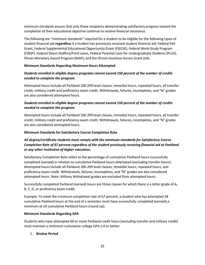minimum standards ensure that only those recipients demonstrating satisfactory progress toward the completion of their educational objective continue to receive financial assistance.

The following are "minimum standards" required for a student to be eligible for the following types of student financial aid *regardless* if a student has previously received student financial aid: Federal Pell Grant, Federal Supplemental Educational Opportunity Grant (FSEOG), Federal Work-Study Program (FWSP), Federal Direct Stafford/Ford Loans, Federal Parental Loan for Undergraduate Students (PLUS), Illinois Monetary Award Program (MAP), and the Illinois Incentive Access Grant (IIA).

## **Minimum Standards Regarding Maximum Hours Attempted**

## *Students enrolled in eligible degree programs cannot exceed 150 percent of the number of credits needed to complete the program.*

Attempted hours include all Parkland 100-299 level classes, remedial hours, repeated hours, all transfer credit, military credit and proficiency exam credit. Withdrawals, failures, incompletes, and "N" grades are also considered attempted hours.

## *Students enrolled in eligible degree programs cannot exceed 150 percent of the number of credits needed to complete the program.*

Attempted hours include all Parkland 100-299 level classes, remedial hours, repeated hours, all transfer credit, military credit and proficiency exam credit. Withdrawals, failures, incompletes, and "N" grades are also considered attempted hours.

## **Minimum Standards for Satisfactory Course Completion Rate**

## *All degree/certificate students must comply with the minimum standards for Satisfactory Course Completion Rate of 67 percent regardless of the student previously receiving financial aid at Parkland or any other institution of higher education.*

Satisfactory Completion Rate refers to the percentage of cumulative Parkland hours successfully completed (earned) in relation to cumulative Parkland hours attempted (excluding transfer hours). Attempted hours include all Parkland 100-299 level classes, remedial hours, repeated hours, and proficiency exam credit. Withdrawals, failures, incompletes, and "N" grades are also considered attempted hours. Note: Military Withdrawal grades are excluded from attempted hours.

Successfully completed Parkland (earned) hours are those classes for which there is a letter grade of A, B, C, D, or proficiency exam credit.

Example: To meet the minimum completion rate of 67 percent, a student who has attempted 28 cumulative Parkland hours at the end of a semester must have successfully completed (earned) a minimum of 19 cumulative Parkland hours (round up).

## **Minimum Standards Regarding GPA**

Students who have attempted 60 or more Parkland credit hours (excluding transfer and military credit) must maintain a minimum cumulative college GPA 2.0 or better.

## 1. *Review Period*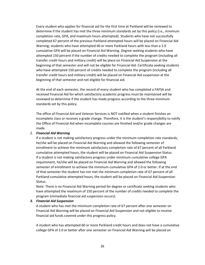Every student who applies for financial aid for the first time at Parkland will be reviewed to determine if the student has met the three minimum standards set by this policy (i.e., minimum completion rate, GPA, and maximum hours attempted). Students who have not successfully completed 67 percent of the previous Parkland attempted hours will be placed on Financial Aid Warning; students who have attempted 60 or more Parkland hours with less than a 2.0 cumulative GPA will be placed on Financial Aid Warning. Degree seeking students who have attempted 150 percent if the number of credits needed to complete the program (including all transfer credit hours and military credit) will be place on Financial Aid Suspension at the beginning of that semester and will not be eligible for Financial Aid. Certificate seeking students who have attempted 150 percent of credits needed to complete the program (including all transfer credit hours and military credit) will be placed on Financial Aid suspension at the beginning of that semester and not eligible for financial aid.

At the end of each semester, the record of every student who has completed a FAFSA and received Financial Aid for which satisfactory academic progress must be maintained will be reviewed to determine if the student has made progress according to the three minimum standards set by this policy.

The office of Financial Aid and Veteran Services is NOT notified when a student finishes an incomplete class or receives a grade change. Therefore, it is the student's responsibility to notify the Office of Financial Aid when incomplete courses are finished and/or grade changes are made.

#### 2. *Financial Aid Warning*

If a student is not making satisfactory progress under the minimum completion rate standards, he/she will be placed on Financial Aid Warning and allowed the following semester of enrollment to achieve the minimum satisfactory completion rate of 67 percent of all Parkland cumulative attempted hours, the student will be placed on Financial Aid Suspension Status. If a student is not making satisfactory progress under minimum cumulative college GPA requirement, he/she will be placed on Financial Aid Warning and allowed the following semester of enrollment to achieve the minimum cumulative GPA of 2.0 or better. If at the end of that semester the student has not met the minimum completion rate of 67 percent of all Parkland cumulative attempted hours, the student will be placed on Financial Aid Suspension Status.

Note: There is no Financial Aid Warning period for degree or certificate seeking students who have attempted the maximum of 150 percent of the number of credits needed to complete the program (immediate financial aid suspension occurs).

#### *3. Financial Aid Suspension*

A student who has met the minimum completion rate of 67 percent after one semester on Financial Aid Warning will be placed on Financial Aid Suspension and not eligible to receive financial aid funds covered under this progress policy.

A student who has attempted 60 or more Parkland credit hours and does not have a cumulative college GPA of 2.0 or better after one semester on Financial Aid Warning will be placed on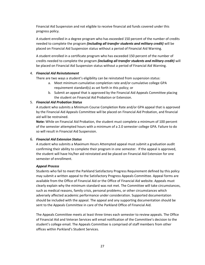Financial Aid Suspension and not eligible to receive financial aid funds covered under this progress policy.

A student enrolled in a degree program who has exceeded 150 percent of the number of credits needed to complete the program *(including all transfer students and military credit)* will be placed on Financial Aid Suspension status without a period of Financial Aid Warning.

A student enrolled in a certificate program who has exceeded 150 percent of the number of credits needed to complete the program *(including all transfer students and military credit)* will be placed on Financial Aid Suspension status without a period of Financial Aid Warning.

## 4. *Financial Aid Reinstatement*

There are two ways a student's eligibility can be reinstated from suspension status:

- a. Meet minimum cumulative completion rate and/or cumulative college GPA requirement standard(s) as set forth in this policy; or
- b. Submit an appeal that is approved by the Financial Aid Appeals Committee placing the student on Financial Aid Probation or Extension.

## 5. *Financial Aid Probation Status*

A student who submits a Minimum Course Completion Rate and/or GPA appeal that is approved by the Financial Aid Appeals Committee will be placed on Financial Aid Probation, and financial aid will be restrained.

**Note:** While on Financial Aid Probation, the student must complete a minimum of 100 percent of the semester attempted hours with a minimum of a 2.0 semester college GPA. Failure to do so will result in Financial Aid Suspension.

## 6. *Financial Aid Extension Status*

A student who submits a Maximum Hours Attempted appeal must submit a graduation audit confirming their ability to complete their program in one semester. If the appeal is approved, the student will have his/her aid reinstated and be placed on Financial Aid Extension for one semester of enrollment.

## *Appeal Process*

Students who fail to meet the Parkland Satisfactory Progress Requirement defined by this policy may submit a written appeal to the Satisfactory Progress Appeals Committee. Appeal forms are available from the Office of Financial Aid or the Office of Financial Aid website. Appeals must clearly explain why the minimum standard was not met. The Committee will take circumstances, such as medical reasons, family crisis, personal problems, or other circumstances which adversely affected academic performance under consideration. Supported documentation should be included with the appeal. The appeal and any supporting documentation should be sent to the Appeals Committee in care of the Parkland Office of Financial Aid.

The Appeals Committee meets at least three times each semester to review appeals. The Office of Financial Aid and Veteran Services will email notification of the Committee's decision to the student's college email. The Appeals Committee is comprised of staff members from other offices within Parkland's Student Services.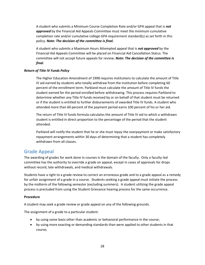A student who submits a Minimum Course Completion Rate and/or GPA appeal that is *not approved* by the Financial Aid Appeals Committee must meet the minimum cumulative completion rate and/or cumulative college GPA requirement standard(s) as set forth in this policy. *Note: The decision of the committee is final.* 

A student who submits a Maximum Hours Attempted appeal that is *not approved* by the Financial Aid Appeals Committee will be placed on Financial Aid Cancellation Status. The committee will not accept future appeals for review*. Note: The decision of the committee is final.* 

## *Return of Title IV Funds Policy*

The Higher Education Amendment of 1998 requires institutions to calculate the amount of Title IV aid earned by students who totally withdraw from the institution before completing 60 percent of the enrollment term. Parkland must calculate the amount of Title IV funds the student earned for the period enrolled before withdrawing. This process requires Parkland to determine whether any Title IV funds received by or on behalf of that student must be returned or if the student is entitled to further disbursements of awarded Title IV funds. A student who attended more than 60 percent of the payment period earns 100 percent of his or her aid.

The return of Title IV funds formula calculates the amount of Title IV aid to which a withdrawn student is entitled in direct proportion to the percentage of the period that the student attended.

Parkland will notify the student that he or she must repay the overpayment or make satisfactory repayment arrangements within 30 days of determining that a student has completely withdrawn from all classes.

## <span id="page-26-0"></span>Grade Appeal

The awarding of grades for work done in courses is the domain of the faculty. Only a faculty-led committee has the authority to override a grade on appeal, except in cases of approvals for drops without record, late withdrawals, and medical withdrawals.

Students have a right to a grade review to correct an erroneous grade and to a grade appeal as a remedy for unfair assignment of a grade in a course. Students seeking a grade appeal must initiate the process by the midterm of the following semester (excluding summers). A student utilizing the grade appeal process is precluded from using the Student Grievance hearing process for the same occurrence.

## **Procedure**

A student may seek a grade review or grade appeal on any of the following grounds.

The assignment of a grade to a particular student:

- by using some basis other than academic or behavioral performance in the course;
- by using more exacting or demanding standards than were applied to other students in that course;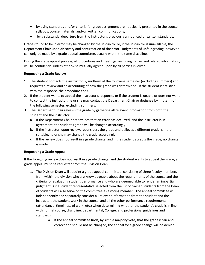- by using standards and/or criteria for grade assignment are not clearly presented in the course syllabus, course materials, and/or written communications;
- by a substantial departure from the instructor's previously announced or written standards.

Grades found to be in error may be changed by the instructor or, if the instructor is unavailable, the Department Chair upon discovery and confirmation of the error. Judgments of unfair grading, however, can only be made by a grade appeal committee, usually within the same discipline.

During the grade appeal process, all procedures and meetings, including names and related information, will be confidential unless otherwise mutually agreed upon by all parties involved.

## **Requesting a Grade Review**

- 1. The student contacts the instructor by midterm of the following semester (excluding summers) and requests a review and an accounting of how the grade was determined. If the student is satisfied with the response, the procedure ends.
- 2. If the student wants to appeal the instructor's response, or if the student is unable or does not want to contact the instructor, he or she may contact the Department Chair or designee by midterm of the following semester, excluding summers.
- 3. The Department Chair reviews the grade by gathering all relevant information from both the student and the instructor.
	- a. If the Department Chair determines that an error has occurred, and the instructor is in agreement, the student's grade will be changed accordingly.
	- b. If the instructor, upon review, reconsiders the grade and believes a different grade is more suitable, he or she may change the grade accordingly.
	- c. If the review does not result in a grade change, and if the student accepts the grade, no change is made.

## **Requesting a Grade Appeal**

If the foregoing review does not result in a grade change, and the student wants to appeal the grade, a grade appeal must be requested from the Division Dean.

- 1. The Division Dean will appoint a grade appeal committee, consisting of three faculty members from within the division who are knowledgeable about the requirements of the course and the criteria for evaluating student performance and who are deemed able to render an impartial judgment. One student representative selected from the list of trained students from the Dean of Students will also serve on the committee as a voting member. The appeal committee will independently and separately consider all relevant information from the student and the instructor, the student work in the course, and all the other performance requirements (attendance, timeliness of work, etc.) when determining whether the student's grade is in line with normal course, discipline, departmental, College, and professional guidelines and standards.
	- a. If the appeal committee finds, by simple majority vote, that the grade is fair and correct and should not be changed, the appeal for a grade change will be denied.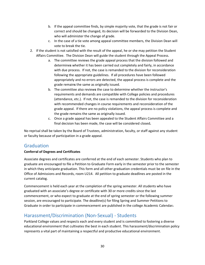- b. If the appeal committee finds, by simple majority vote, that the grade is not fair or correct and should be changed, its decision will be forwarded to the Division Dean, who will administer the change of grade.
- c. In the case of a tie vote among appeal committee members, the Division Dean will vote to break the tie.
- 2. If the student is not satisfied with the result of the appeal, he or she may petition the Student Affairs Committee. The Division Dean will guide the student through the Appeal Process.
	- a. The committee reviews the grade appeal process that the division followed and determine**s** whether it has been carried out completely and fairly, in accordance with due process. If not, the case is remanded to the division for reconsideration following the appropriate guidelines. If all procedures have been followed appropriately and no errors are detected, the appeal process is complete and the grade remain**s** the same as originally issued.
	- b. The committee also review**s** the case to determine whether the instructor's requirements and demands are compatible with College policies and procedures (attendance, etc.). If not, the case is remanded to the division for reconsideration with recommended changes in course requirements and reconsideration of the grade appeal. If there are no policy violations, the appeal process is complete and the grade remains the same as originally issued.
	- c. Once a grade appeal has been appealed to the Student Affairs Committee and a final decision has been made, the case will be considered closed**.**

No reprisal shall be taken by the Board of Trustees, administration, faculty, or staff against any student or faculty because of participation in a grade appeal.

## <span id="page-28-0"></span>**Graduation**

## **Conferral of Degrees and Certificates**

Associate degrees and certificates are conferred at the end of each semester. Students who plan to graduate are encouraged to file a Petition to Graduate Form early in the semester prior to the semester in which they anticipate graduation. This form and all other graduation credentials must be on file in the Office of Admissions and Records, room U214. All petition to graduate deadlines are posted in the current catalog.

Commencement is held each year at the completion of the spring semester. All students who have graduated with an associate's degree or certificate with 30 or more credits since the last commencement, or who expect to graduate at the end of spring semester or the following summer session, are encouraged to participate. The deadline(s) for filing Spring and Summer Petitions to Graduate in order to participate in commencement are published in the college Academic Calendar.

# <span id="page-28-1"></span>Harassment/Discrimination (Non-Sexual) - Students

Parkland College values and respects each and every student and is committed to fostering a diverse educational environment that cultivates the best in each student. This harassment/discrimination policy represents a vital part of maintaining a respectful and productive educational environment.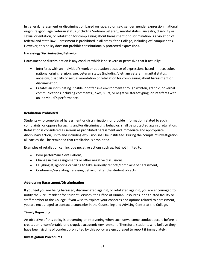In general, harassment or discrimination based on race, color, sex, gender, gender expression, national origin, religion, age, veteran status (including Vietnam veteran), marital status, ancestry, disability or sexual orientation, or retaliation for complaining about harassment or discrimination is a violation of federal and state law. Harassment is prohibited in all areas if the College, including off-campus sites. However, this policy does not prohibit constitutionally protected expressions.

## **Harassing/Discriminating Behavior**

Harassment or discrimination is any conduct which is so severe or pervasive that it actually:

- Interferes with an individual's work or education because of expressions based in race, color, national origin, religion, age, veteran status (including Vietnam veteran); marital status, ancestry, disability or sexual orientation or retaliation for complaining about harassment or discrimination;
- Creates an intimidating, hostile, or offensive environment through written, graphic, or verbal communications including comments, jokes, slurs, or negative stereotyping; or interferes with an individual's performance.

## **Retaliation Prohibited**

Students who complain of harassment or discrimination, or provide information related to such complaints, or oppose harassing and/or discriminating behavior, shall be protected against retaliation. Retaliation is considered as serious as prohibited harassment and immediate and appropriate disciplinary action, up to and including expulsion shall be instituted. During the complaint investigation, all parties shall be reminded that retaliation is prohibited.

Examples of retaliation can include negative actions such as, but not limited to:

- Poor performance evaluations;
- Change in class assignments or other negative discussions;
- Laughing at, ignoring or failing to take seriously reports/complaint of harassment;
- Continuing/escalating harassing behavior after the student objects.

## **Addressing Harassment/Discrimination**

If you feel you are being harassed, discriminated against, or retaliated against, you are encouraged to notify the Vice President for Student Services, the Office of Human Resources, or a trusted faculty or staff member at the College. If you wish to explore your concerns and options related to harassment, you are encouraged to contact a counselor in the Counseling and Advising Center at the College.

## **Timely Reporting**

An objective of this policy is preventing or intervening when such unwelcome conduct occurs before it creates an uncomfortable or disruptive academic environment. Therefore, students who believe they have been victims of conduct prohibited by this policy are encouraged to report it immediately.

## **Investigation Procedures**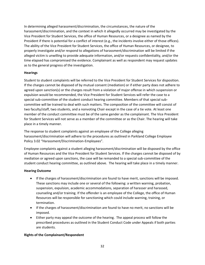In determining alleged harassment/discrimination, the circumstances, the nature of the harassment/discrimination, and the context in which it allegedly occurred may be investigated by the Vice President for Student Services, the office of Human Resources, or a designee as named by the President if there is potential for a conflict of interest (e.g., the incidents involve either of those offices). The ability of the Vice President for Student Services, the office of Human Resources, or designee, to properly investigate and/or respond to allegations of harassment/discrimination will be limited if the alleged victim is unwilling to provide adequate information, and/or requests confidentiality, and/or the time elapsed has compromised the evidence. Complainant as well as respondent may request updates as to the general progress of the investigation.

## **Hearings**

Student to student complaints will be referred to the Vice President for Student Services for disposition. If the charges cannot be disposed of by mutual consent (mediation) or if either party does not adhere to agreed upon sanction(s) or the charges result from a violation of major offense in which suspension or expulsion would be recommended, the Vice President for Student Services will refer the case to a special sub-committee of the student conduct hearing committee. Members of that special subcommittee will be trained to deal with such matters. The composition of the committee will consist of two faculty/staff, two students, and a nonvoting Chair except in the case of a tie vote. At least one member of the conduct committee must be of the same gender as the complainant. The Vice President for Student Services will not serve as a member of the committee or as the Chair. The hearing will take place in a timely manner.

The response to student complaints against an employee of the College alleging harassment/discrimination will adhere to the procedures as outlined in Parkland College Employee Policy 3.02 "Harassment/Discrimination-Employees".

Employee complaints against a student alleging harassment/discrimination will be disposed by the office of Human Resources and the Vice President for Student Services. If the charges cannot be disposed of by mediation or agreed upon sanctions, the case will be remanded to a special sub-committee of the student conduct hearing committee, as outlined above. The hearing will take place in a timely manner.

## **Hearing Outcome**

- If the charges of harassment/discrimination are found to have merit, sanctions will be imposed. These sanctions may include one or several of the following: a written warning, probation, suspension, expulsion, academic accommodations, separation of harasser and harassed, counseling and/or training. If the offender is an employee of the College, the office of Human Resources will be responsible for sanctioning which could include warning, training, or termination.
- If the charges of harassment/discrimination are found to have no merit, no sanctions will be imposed.
- Either party may appeal the outcome of the hearing. The appeal process will follow the prescribed procedures as outlined in the Student Conduct Code under Appeals if both parties are students.

## **Rights of the Complainant/Respondent**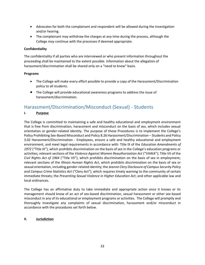- Advocates for both the complainant and respondent will be allowed during the investigation and/or hearing.
- The complainant may withdraw the charges at any time during the process, although the College may continue with the processes if deemed appropriate.

## **Confidentiality**

The confidentiality if all parties who are interviewed or who present information throughout the proceeding shall be maintained to the extent possible. Information about the allegation of harassment/discrimination shall be shared only on a "need to know" basis.

## **Programs**

- The College will make every effort possible to provide a copy of the Harassment/Discrimination policy to all students.
- The College will provide educational awareness programs to address the issue of harassment/discrimination.

# <span id="page-31-0"></span>Harassment/Discrimination/Misconduct (Sexual) - Students

## **I. Purpose**

The College is committed to maintaining a safe and healthy educational and employment environment that is free from discrimination, harassment and misconduct on the basis of sex, which includes sexual orientation or gender-related identity. The purpose of these Procedures is to implement the College's Policy Prohibiting Sex-Based Misconduct and Policy 8.26 Harassment/Discrimination – Students and Policy 3.02 Harassment/Discrimination - Employees, ensure a safe and healthy educational and employment environment, and meet legal requirements in accordance with: Title IX of the *Education Amendments of 1972* ("Title IX"), which prohibits discrimination on the basis of sex in the College's education programs or activities; relevant sections of the *Violence Against Women Reauthorization Act* ("VAWA"); Title VII of the *Civil Rights Act of 1964* ("Title VII"), which prohibits discrimination on the basis of sex in employment; relevant sections of the *Illinois Human Rights Act*, which prohibits discrimination on the basis of sex or sexual orientation, including gender-related identity; the *Jeanne Clery Disclosure of Campus Security Policy and Campus Crime Statistics Act* ("Clery Act"), which requires timely warning to the community of certain immediate threats; the *Preventing Sexual Violence in Higher Education Act*; and other applicable law and local ordinances.

The College has an affirmative duty to take immediate and appropriate action once it knows or its management should know of an act of sex-based discrimination, sexual harassment or other sex-based misconduct in any of its educational or employment programs or activities. The College will promptly and thoroughly investigate any complaints of sexual discrimination, harassment and/or misconduct in accordance with the procedures set forth below.

## **II. Jurisdiction**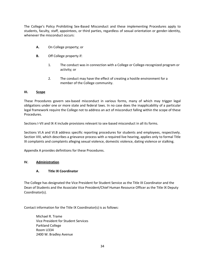The College's Policy Prohibiting Sex-Based Misconduct and these implementing Procedures apply to students, faculty, staff, appointees, or third parties, regardless of sexual orientation or gender-identity, whenever the misconduct occurs:

- **A.** On College property; or
- **B.** Off College property if:
	- 1. The conduct was in connection with a College or College-recognized program or activity; or
	- 2. The conduct may have the effect of creating a hostile environment for a member of the College community.

## **III. Scope**

These Procedures govern sex-based misconduct in various forms, many of which may trigger legal obligations under one or more state and federal laws. In no case does the inapplicability of a particular legal framework require the College not to address an act of misconduct falling within the scope of these Procedures.

Sections I-VII and IX-X include provisions relevant to sex-based misconduct in all its forms.

Sections VI.A and VI.B address specific reporting procedures for students and employees, respectively. Section VIII, which describes a grievance process with a required live hearing, applies only to formal Title IX complaints and complaints alleging sexual violence, domestic violence, dating violence or stalking.

Appendix A provides definitions for these Procedures.

## **IV. Administration**

## **A. Title IX Coordinator**

The College has designated the Vice President for Student Service as the Title IX Coordinator and the Dean of Students and the Associate Vice President/Chief Human Resource Officer as the Title IX Deputy Coordinator(s).

Contact information for the Title IX Coordinator(s) is as follows:

Michael R. Trame Vice President for Student Services Parkland College Room U334 2400 W. Bradley Avenue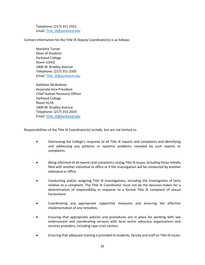Telephone: (217) 351-2551 Email: [Title\\_IX@parkland.edu](mailto:Title_IX@parkland.edu)

Contact information for the Title IX Deputy Coordinator(s) is as follows:

Marietta Turner Dean of Students Parkland College Room U243] 2400 W. Bradley Avenue Telephone: (217) 351-2505 Email: [Title\\_IX@parkland.edu](mailto:Title_IX@parkland.edu)

Kathleen McAndrew Associate Vice President Chief Human Resource Officer Parkland College Room A116 2400 W. Bradley Avenue Telephone: (217) 353-2024 Email: [Title\\_IX@parkland.edu](mailto:Title_IX@parkland.edu)

Responsibilities of the Title IX Coordinator(s) include, but are not limited to:

- Overseeing the College's response to all Title IX reports and complaints and identifying and addressing any patterns or systemic problems revealed by such reports or complaints.
- Being informed of all reports and complaints raising Title IX issues, including those initially filed with another individual or office or if the investigation will be conducted by another individual or office.
- Conducting and/or assigning Title IX investigations, including the investigation of facts relative to a complaint. The Title IX Coordinator must not be the decision-maker for a determination of responsibility in response to a formal Title IX complaint of sexual harassment.
- Coordinating any appropriate supportive measures and ensuring the effective implementation of any remedies.
- Ensuring that appropriate policies and procedures are in place for working with law enforcement and coordinating services with local victim advocacy organizations and services providers, including rape crisis centers.
- Ensuring that adequate training is provided to students, faculty and staff on Title IX issues.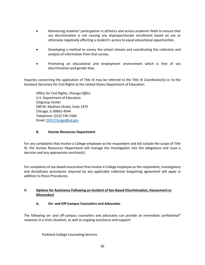- Monitoring students' participation in athletics and across academic fields to ensure that sex discrimination is not causing any disproportionate enrollment based on sex or otherwise negatively affecting a student's access to equal educational opportunities.
- Developing a method to survey the school climate and coordinating the collection and analysis of information from that survey.
- Promoting an educational and employment environment which is free of sex discrimination and gender bias.

Inquiries concerning the application of Title IX may be referred to the Title IX Coordinator(s) or to the Assistant Secretary for Civil Rights at the United States Department of Education:

Office for Civil Rights, *Chicago Office* U.S. Department of Education Citigroup Center 500 W. Madison Street, Suite 1475 Chicago, IL 60661-4544 Telephone: (312) 730-1560 Email: [OCR.Chicago@ed.gov](mailto:OCR.Chicago@ed.gov)

## **B. Human Resources Department**

For any complaints that involve a College employee as the respondent and fall outside the scope of Title IX, the Human Resources Department will manage the investigation into the allegations and issue a decision and any appropriate sanction(s).

For complaints of sex-based misconduct that involve a College employee as the respondent, investigatory and disciplinary procedures required by any applicable collective bargaining agreement will apply in addition to these Procedures.

## **V. Options for Assistance Following an Incident of Sex-Based Discrimination, Harassment or Misconduct**

## **A. On- and Off-Campus Counselors and Advocates**

The following on- and off-campus counselors and advocates can provide an immediate confidential\* response in a crisis situation, as well as ongoing assistance and support:

Parkland College Counseling Services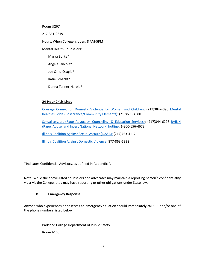Room U267

217-351-2219

Hours: When College is open, 8 AM-5PM

Mental Health Counselors:

Marya Burke\*

Angela Jancola\*

Joe Omo-Osagie\*

Katie Schacht\*

Donna Tanner-Harold\*

## **24-Hour Crisis Lines**

[Courage Connection Domestic Violence for Women and Children:](https://courageconnection.org/) (217)384-4390 [Mental](https://rosecrance.org/locations/rosecrance-fox-drive/)  [health/suicide \(Rosecrance/Community Elements\):](https://rosecrance.org/locations/rosecrance-fox-drive/) (217)693-4580

[Sexual assault \(Rape Advocacy, Counseling, & Education Services\):](https://www.cu-races.org/) (217)344-6298 [RAINN](https://www.rainn.org/)  [\(Rape, Abuse, and Incest National Network\) hotline:](https://www.rainn.org/) 1-800-656-4673

[Illinois Coalition Against Sexual Assault \(ICASA\):](https://icasa.org/) (217)753-4117

[Illinois Coalition Against Domestic Violence:](https://www.ilcadv.org/) 877-863-6338

\*Indicates Confidential Advisors, as defined in Appendix A.

Note: While the above-listed counselors and advocates may maintain a reporting person's confidentiality vis-à-vis the College, they may have reporting or other obligations under State law.

## **B. Emergency Response**

Anyone who experiences or observes an emergency situation should immediately call 911 and/or one of the phone numbers listed below:

> Parkland College Department of Public Safety Room A160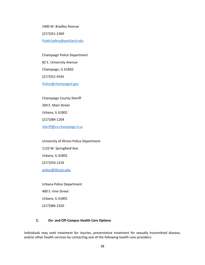2400 W. Bradley Avenue (217)351-2369 [PublicSafety@parkland.edu](mailto:PublicSafety@parkland.edu)

Champaign Police Department 82 E. University Avenue Champaign, IL 61820 (217)351-4545 [Police@champaignil.gov](mailto:Police@champaignil.gov)

Champaign County Sheriff 204 E. Main Street Urbana, IL 61801 (217)384-1204 [sheriff@co.champaign.il.us](mailto:sheriff@co.champaign.il.us)

University of Illinois Police Department 1110 W. Springfield Ave. Urbana, IL 61801 (217)333-1216 [police@illinois.edu](mailto:police@illinois.edu)

Urbana Police Department 400 S. Vine Street Urbana, IL 61801 (217)384-2320

#### **C. On- and Off-Campus Health Care Options**

Individuals may seek treatment for injuries, preventative treatment for sexually transmitted disease, and/or other health services by contacting one of the following health care providers: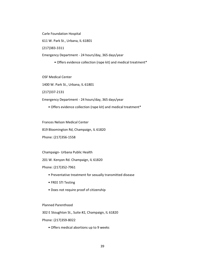Carle Foundation Hospital

611 W. Park St., Urbana, IL 61801

(217)383-3311

Emergency Department - 24 hours/day, 365 days/year

• Offers evidence collection (rape kit) and medical treatment\*

OSF Medical Center

1400 W. Park St., Urbana, IL 61801

(217)337-2131

Emergency Department - 24 hours/day, 365 days/year

• Offers evidence collection (rape kit) and medical treatment\*

Frances Nelson Medical Center

819 Bloomington Rd, Champaign, IL 61820

Phone: (217)356-1558

Champaign- Urbana Public Health

201 W. Kenyon Rd. Champaign, IL 61820

Phone: (217)352-7961

- Preventative treatment for sexually transmitted disease
- FREE STI Testing
- Does not require proof of citizenship

Planned Parenthood

302 E Stoughton St., Suite #2, Champaign, IL 61820

Phone: (217)359-8022

• Offers medical abortions up to 9 weeks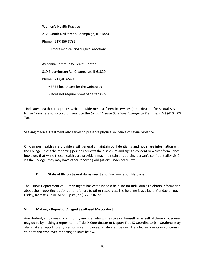Women's Health Practice

2125 South Neil Street, Champaign, IL 61820

Phone: (217)356-3736

• Offers medical and surgical abortions

Avicenna Community Health Center

819 Bloomington Rd, Champaign, IL 61820

Phone: (217)403-5498

- FREE healthcare for the Uninsured
- Does not require proof of citizenship

\*Indicates health care options which provide medical forensic services (rape kits) and/or Sexual Assault Nurse Examiners at no cost, pursuant to the *Sexual Assault Survivors Emergency Treatment Act* (410 ILCS 70).

Seeking medical treatment also serves to preserve physical evidence of sexual violence.

Off-campus health care providers will generally maintain confidentiality and not share information with the College unless the reporting person requests the disclosure and signs a consent or waiver form. Note, however, that while these health care providers may maintain a reporting person's confidentiality vis-àvis the College, they may have other reporting obligations under State law.

#### **D. State of Illinois Sexual Harassment and Discrimination Helpline**

The Illinois Department of Human Rights has established a helpline for individuals to obtain information about their reporting options and referrals to other resources. The helpline is available Monday through Friday, from 8:30 a.m. to 5:00 p.m., at (877) 236-7703.

#### **VI. Making a Report of Alleged Sex-Based Misconduct**

Any student, employee or community member who wishes to avail himself or herself of these Procedures may do so by making a report to the Title IX Coordinator or Deputy Title IX Coordinator(s). Students may also make a report to any Responsible Employee, as defined below. Detailed information concerning student and employee reporting follows below.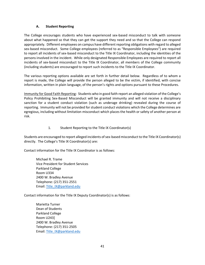#### **A. Student Reporting**

The College encourages students who have experienced sex-based misconduct to talk with someone about what happened so that they can get the support they need and so that the College can respond appropriately. Different employees on campus have different reporting obligations with regard to alleged sex-based misconduct. Some College employees (referred to as "Responsible Employees") are required to report all incidents of sex-based misconduct to the Title IX Coordinator, including the identities of the persons involved in the incident. While only designated Responsible Employees are required to report all incidents of sex-based misconduct to the Title IX Coordinator, all members of the College community (including students) are encouraged to report such incidents to the Title IX Coordinator.

The various reporting options available are set forth in further detail below. Regardless of to whom a report is made, the College will provide the person alleged to be the victim, if identified, with concise information, written in plain language, of the person's rights and options pursuant to these Procedures.

Immunity for Good Faith Reporting: Students who in good faith report an alleged violation of the College's Policy Prohibiting Sex-Based Misconduct will be granted immunity and will not receive a disciplinary sanction for a student conduct violation (such as underage drinking) revealed during the course of reporting. Immunity will not be provided for student conduct violations which the College determines are egregious, including without limitation misconduct which places the health or safety of another person at risk.

#### 1. Student Reporting to the Title IX Coordinator(s)

Students are encouraged to report alleged incidents of sex-based misconduct to the Title IX Coordinator(s) directly. The College's Title IX Coordinator(s) are:

Contact information for the Title IX Coordinator is as follows:

Michael R. Trame Vice President for Student Services Parkland College Room U334 2400 W. Bradley Avenue Telephone: (217) 351-2551 Email: [Title\\_IX@parkland.edu](mailto:Title_IX@parkland.edu)

Contact information for the Title IX Deputy Coordinator(s) is as follows:

Marietta Turner Dean of Students Parkland College Room U243] 2400 W. Bradley Avenue Telephone: (217) 351-2505 Email: [Title\\_IX@parkland.edu](mailto:Title_IX@parkland.edu)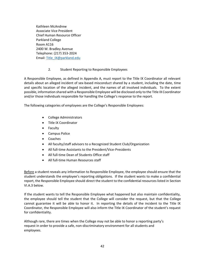Kathleen McAndrew Associate Vice President Chief Human Resource Officer Parkland College Room A116 2400 W. Bradley Avenue Telephone: (217) 353-2024 Email: [Title\\_IX@parkland.edu](mailto:Title_IX@parkland.edu)

#### 2. Student Reporting to Responsible Employees

A Responsible Employee, as defined in Appendix A, must report to the Title IX Coordinator all relevant details about an alleged incident of sex-based misconduct shared by a student, including the date, time and specific location of the alleged incident, and the names of all involved individuals. To the extent possible, information shared with a Responsible Employee will be disclosed only to the Title IX Coordinator and/or those individuals responsible for handling the College's response to the report.

The following categories of employees are the College's Responsible Employees:

- College Administrators
- Title IX Coordinator
- Faculty
- Campus Police
- Coaches
- All faculty/staff advisors to a Recognized Student Club/Organization
- All full-time Assistants to the President/Vice-Presidents
- All full-time Dean of Students Office staff
- All full-time Human Resources staff

Before a student reveals any information to Responsible Employee, the employee should ensure that the student understands the employee's reporting obligations. If the student wants to make a confidential report, the Responsible Employee should direct the student to the confidential resources listed in Section VI.A.3 below.

If the student wants to tell the Responsible Employee what happened but also maintain confidentiality, the employee should tell the student that the College will consider the request, but that the College cannot guarantee it will be able to honor it. In reporting the details of the incident to the Title IX Coordinator, the Responsible Employee will also inform the Title IX Coordinator of the student's request for confidentiality.

Although rare, there are times when the College may not be able to honor a reporting party's request in order to provide a safe, non-discriminatory environment for all students and employees.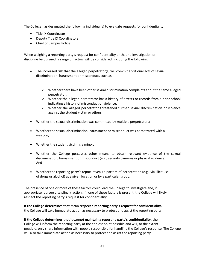The College has designated the following individual(s) to evaluate requests for confidentiality:

- Title IX Coordinator
- Deputy Title IX Coordinators
- Chief of Campus Police

When weighing a reporting party's request for confidentiality or that no investigation or discipline be pursued, a range of factors will be considered, including the following:

- The increased risk that the alleged perpetrator(s) will commit additional acts of sexual discrimination, harassment or misconduct, such as:
	- o Whether there have been other sexual discrimination complaints about the same alleged perpetrator;
	- o Whether the alleged perpetrator has a history of arrests or records from a prior school indicating a history of misconduct or violence;
	- o Whether the alleged perpetrator threatened further sexual discrimination or violence against the student victim or others;
- Whether the sexual discrimination was committed by multiple perpetrators;
- Whether the sexual discrimination, harassment or misconduct was perpetrated with a weapon;
- Whether the student victim is a minor;
- Whether the College possesses other means to obtain relevant evidence of the sexual discrimination, harassment or misconduct (e.g., security cameras or physical evidence); And
- Whether the reporting party's report reveals a pattern of perpetration (e.g., via illicit use of drugs or alcohol) at a given location or by a particular group.

The presence of one or more of these factors could lead the College to investigate and, if appropriate, pursue disciplinary action. If none of these factors is present, the College will likely respect the reporting party's request for confidentiality.

**If the College determines that it can respect a reporting party's request for confidentiality,** the College will take immediate action as necessary to protect and assist the reporting party.

#### **If the College determines that it cannot maintain a reporting party's confidentiality,** the

College will inform the reporting party at the earliest point possible and will, to the extent possible, only share information with people responsible for handling the College's response. The College will also take immediate action as necessary to protect and assist the reporting party.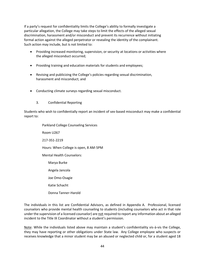If a party's request for confidentiality limits the College's ability to formally investigate a particular allegation, the College may take steps to limit the effects of the alleged sexual discrimination, harassment and/or misconduct and prevent its recurrence without initiating formal action against the alleged perpetrator or revealing the identity of the complainant. Such action may include, but is not limited to:

- Providing increased monitoring, supervision, or security at locations or activities where the alleged misconduct occurred;
- Providing training and education materials for students and employees;
- Revising and publicizing the College's policies regarding sexual discrimination, harassment and misconduct; and
- Conducting climate surveys regarding sexual misconduct.
	- 3. Confidential Reporting

Students who wish to confidentially report an incident of sex-based misconduct may make a confidential report to:

> Parkland College Counseling Services Room U267 217-351-2219 Hours: When College is open, 8 AM-5PM Mental Health Counselors: Marya Burke Angela Jancola Joe Omo-Osagie Katie Schacht Donna Tanner-Harold

The individuals in this list are Confidential Advisors, as defined in Appendix A. Professional, licensed counselors who provide mental health counseling to students (including counselors who act in that role under the supervision of a licensed counselor) are not required to report any information about an alleged incident to the Title IX Coordinator without a student's permission.

Note: While the individuals listed above may maintain a student's confidentiality vis-à-vis the College, they may have reporting or other obligations under State law. Any College employee who suspects or receives knowledge that a minor student may be an abused or neglected child or, for a student aged 18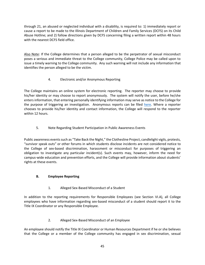through 21, an abused or neglected individual with a disability, is required to: 1) immediately report or cause a report to be made to the Illinois Department of Children and Family Services (DCFS) on its Child Abuse Hotline; and 2) follow directions given by DCFS concerning filing a written report within 48 hours with the nearest DCFS field office.

Also Note: If the College determines that a person alleged to be the perpetrator of sexual misconduct poses a serious and immediate threat to the College community, College Police may be called upon to issue a timely warning to the College community. Any such warning will not include any information that identifies the person alleged to be the victim.

## 4. Electronic and/or Anonymous Reporting

The College maintains an online system for electronic reporting. The reporter may choose to provide his/her identity or may choose to report anonymously. The system will notify the user, before he/she enters information, that entering personally identifying information may serve as notice to the College for the purpose of triggering an investigation. Anonymous reports can be filed [here.](https://cm.maxient.com/reportingform.php?ParklandCollege&layout_id=42) Where a reporter chooses to provide his/her identity and contact information, the College will respond to the reporter within 12 hours.

## 5. Note Regarding Student Participation in Public Awareness Events

Public awareness events such as "Take Back the Night," the Clothesline Project, candlelight vigils, protests, "survivor speak outs" or other forums in which students disclose incidents are not considered notice to the College of sex-based discrimination, harassment or misconduct for purposes of triggering an obligation to investigate any particular incident(s). Such events may, however, inform the need for campus-wide education and prevention efforts, and the College will provide information about students' rights at these events.

## **B. Employee Reporting**

1. Alleged Sex-Based Misconduct of a Student

In addition to the reporting requirements for Responsible Employees (see Section VI.A), all College employees who have information regarding sex-based misconduct of a student should report it to the Title IX Coordinator or any Responsible Employee.

## 2. Alleged Sex-Based Misconduct of an Employee

An employee should notify the Title IX Coordinator or Human Resources Department if he or she believes that the College or a member of the College community has engaged in sex discrimination, sexual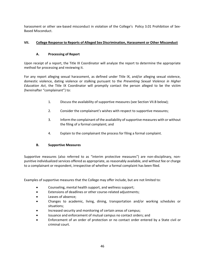harassment or other sex-based misconduct in violation of the College's Policy 3.01 Prohibition of Sex-Based Misconduct.

## **VII. College Response to Reports of Alleged Sex Discrimination, Harassment or Other Misconduct**

### **A. Processing of Report**

Upon receipt of a report, the Title IX Coordinator will analyze the report to determine the appropriate method for processing and reviewing it.

For any report alleging sexual harassment, as defined under Title IX, and/or alleging sexual violence, domestic violence, dating violence or stalking pursuant to the *Preventing Sexual Violence in Higher Education Act*, the Title IX Coordinator will promptly contact the person alleged to be the victim (hereinafter "complainant") to:

- 1. Discuss the availability of supportive measures (see Section VII.B below);
- 2. Consider the complainant's wishes with respect to supportive measures;
- 3. Inform the complainant of the availability of supportive measures with or without the filing of a formal complaint; and
- 4. Explain to the complainant the process for filing a formal complaint.

#### **B. Supportive Measures**

Supportive measures (also referred to as "interim protective measures") are non-disciplinary, nonpunitive individualized services offered as appropriate, as reasonably available, and without fee or charge to a complainant or respondent, irrespective of whether a formal complaint has been filed.

Examples of supportive measures that the College may offer include, but are not limited to:

- Counseling, mental health support, and wellness support;
- Extensions of deadlines or other course-related adjustments;
- Leaves of absence;
- Changes to academic, living, dining, transportation and/or working schedules or situations;
- Increased security and monitoring of certain areas of campus;
- Issuance and enforcement of mutual campus no contact orders; and
- Enforcement of an order of protection or no contact order entered by a State civil or criminal court.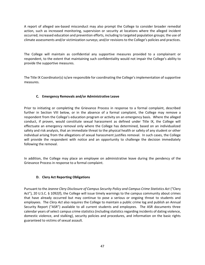A report of alleged sex-based misconduct may also prompt the College to consider broader remedial action, such as increased monitoring, supervision or security at locations where the alleged incident occurred; increased education and prevention efforts, including to targeted population groups; the use of climate assessments and/or victimization surveys; and/or revisions to the College's policies and practices.

The College will maintain as confidential any supportive measures provided to a complainant or respondent, to the extent that maintaining such confidentiality would not impair the College's ability to provide the supportive measures.

The Title IX Coordinator(s) is/are responsible for coordinating the College's implementation of supportive measures.

### **C. Emergency Removals and/or Administrative Leave**

Prior to initiating or completing the Grievance Process in response to a formal complaint, described further in Section VIII below, or in the absence of a formal complaint, the College may remove a respondent from the College's education program or activity on an emergency basis. Where the alleged conduct, if proven, would constitute sexual harassment as defined under Title IX, the College will effectuate an emergency removal only where the College has determined, based on an individualized safety and risk analysis, that an immediate threat to the physical health or safety of any student or other individual arising from the allegations of sexual harassment justifies removal. In such cases, the College will provide the respondent with notice and an opportunity to challenge the decision immediately following the removal.

In addition, the College may place an employee on administrative leave during the pendency of the Grievance Process in response to a formal complaint.

#### **D. Clery Act Reporting Obligations**

Pursuant to the *Jeanne Clery Disclosure of Campus Security Policy and Campus Crime Statistics Act* ("Clery Act"), 20 U.S.C. § 1092(f), the College will issue timely warnings to the campus community about crimes that have already occurred but may continue to pose a serious or ongoing threat to students and employees. The *Clery Act* also requires the College to maintain a public crime log and publish an Annual Security Report ("ASR") available to all current students and employees. The ASR documents three calendar years of select campus crime statistics (including statistics regarding incidents of dating violence, domestic violence, and stalking), security policies and procedures, and information on the basic rights guaranteed to victims of sexual assault.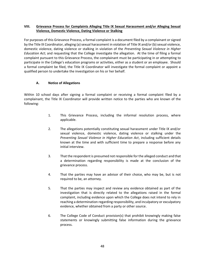#### **VIII. Grievance Process for Complaints Alleging Title IX Sexual Harassment and/or Alleging Sexual Violence, Domestic Violence, Dating Violence or Stalking**

For purposes of this Grievance Process, a formal complaint is a document filed by a complainant or signed by the Title IX Coordinator, alleging (a) sexual harassment in violation of Title IX and/or (b) sexual violence, domestic violence, dating violence or stalking in violation of the *Preventing Sexual Violence in Higher Education Act*; and requesting that the College investigate the allegation. At the time of filing a formal complaint pursuant to this Grievance Process, the complainant must be participating in or attempting to participate in the College's education programs or activities, either as a student or an employee. Should a formal complaint be filed, the Title IX Coordinator will investigate the formal complaint or appoint a qualified person to undertake the investigation on his or her behalf.

#### **A. Notice of Allegations**

Within 10 school days after signing a formal complaint or receiving a formal complaint filed by a complainant, the Title IX Coordinator will provide written notice to the parties who are known of the following:

- 1. This Grievance Process, including the informal resolution process, where applicable.
- 2. The allegations potentially constituting sexual harassment under Title IX and/or sexual violence, domestic violence, dating violence or stalking under the *Preventing Sexual Violence in Higher Education Act*, including sufficient details known at the time and with sufficient time to prepare a response before any initial interview.
- 3. That the respondent is presumed not responsible for the alleged conduct and that a determination regarding responsibility is made at the conclusion of the grievance process.
- 4. That the parties may have an advisor of their choice, who may be, but is not required to be, an attorney.
- 5. That the parties may inspect and review any evidence obtained as part of the investigation that is directly related to the allegations raised in the formal complaint, including evidence upon which the College does not intend to rely in reaching a determination regarding responsibility, and inculpatory or exculpatory evidence, whether obtained from a party or other source.
- 6. The College Code of Conduct provision(s) that prohibit knowingly making false statements or knowingly submitting false information during the grievance process.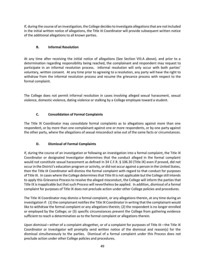If, during the course of an investigation, the College decides to investigate allegations that are not included in the initial written notice of allegations, the Title IX Coordinator will provide subsequent written notice of the additional allegations to all known parties.

### **B. Informal Resolution**

At any time after receiving the initial notice of allegations (See Section VIII.A above), and prior to a determination regarding responsibility being reached, the complainant and respondent may request to participate in an informal resolution process. Informal resolution will only occur with both parties' voluntary, written consent. At any time prior to agreeing to a resolution, any party will have the right to withdraw from the informal resolution process and resume the grievance process with respect to the formal complaint.

The College does not permit informal resolution in cases involving alleged sexual harassment, sexual violence, domestic violence, dating violence or stalking by a College employee toward a student.

## **C. Consolidation of Formal Complaints**

The Title IX Coordinator may consolidate formal complaints as to allegations against more than one respondent, or by more than one complainant against one or more respondents, or by one party against the other party, where the allegations of sexual misconduct arise out of the same facts or circumstances.

#### **D. Dismissal of Formal Complaints**

If, during the course of an investigation or following an investigation into a formal complaint, the Title IX Coordinator or designated Investigator determines that the conduct alleged in the formal complaint would not constitute sexual harassment as defined in 34 C.F.R. § 106.30 (Title IX) even if proved, did not occur in the District's education program or activity, or did not occur against a person in the United States, then the Title IX Coordinator will dismiss the formal complaint with regard to that conduct for purposes of Title IX. In cases where the College determines that Title IX is not applicable but the College still intends to apply this Grievance Process to resolve the alleged misconduct, the College will inform the parties that Title IX is inapplicable but that such Process will nevertheless be applied. In addition, dismissal of a formal complaint for purposes of Title IX does not preclude action under other College policies and procedures.

The Title IX Coordinator may dismiss a formal complaint, or any allegations therein, at any time during an investigation if: (1) the complainant notifies the Title IX Coordinator in writing that the complainant would like to withdraw the formal complaint or any allegations therein; (2) the respondent is no longer enrolled or employed by the College; or (3) specific circumstances prevent the College from gathering evidence sufficient to reach a determination as to the formal complaint or allegations therein.

Upon dismissal—either of a complaint altogether, or of a complaint for purposes of Title IX—the Title IX Coordinator or Investigator will promptly send written notice of the dismissal and reason(s) for the dismissal simultaneously to the parties. Dismissal of a formal complaint under this Process does not preclude action under other College policies and procedures.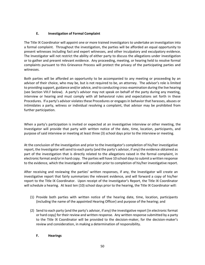### **E. Investigation of Formal Complaint**

The Title IX Coordinator will appoint one or more trained investigators to undertake an investigation into a formal complaint. Throughout the investigation, the parties will be afforded an equal opportunity to present witnesses including fact and expert witnesses, and other inculpatory and exculpatory evidence. The Investigator will not restrict the ability of either party to discuss the allegations under investigation or to gather and present relevant evidence. Any proceeding, meeting, or hearing held to resolve formal complaints pursuant to this Grievance Process will protect the privacy of the participating parties and witnesses.

Both parties will be afforded an opportunity to be accompanied to any meeting or proceeding by an advisor of their choice, who may be, but is not required to be, an attorney. The advisor's role is limited to providing support, guidance and/or advice, and to conducting cross-examination during the live hearing (see Section VIII.F below). A party's advisor may not speak on behalf of the party during any meeting, interview or hearing and must comply with all behavioral rules and expectations set forth in these Procedures. If a party's advisor violates these Procedures or engages in behavior that harasses, abuses or intimidates a party, witness or individual resolving a complaint, that advisor may be prohibited from further participation.

When a party's participation is invited or expected at an investigative interview or other meeting, the Investigator will provide that party with written notice of the date, time, location, participants, and purpose of said interview or meeting at least three (3) school days prior to the interview or meeting.

At the conclusion of the investigation and prior to the Investigator's completion of his/her investigative report, the Investigator will send to each party (and the party's advisor, if any) the evidence obtained as part of the investigation that is directly related to the allegations raised in the formal complaint, in electronic format and/or in hard copy. The parties will have 10 school days to submit a written response to the evidence, which the Investigator will consider prior to completion of his/her investigative report.

After receiving and reviewing the parties' written responses, if any, the Investigator will create an investigative report that fairly summarizes the relevant evidence, and will forward a copy of his/her report to the Title IX Coordinator. Upon receipt of the Investigator's Report, the Title IX Coordinator will schedule a hearing. At least ten (10) school days prior to the hearing, the Title IX Coordinator will:

- (1) Provide both parties with written notice of the hearing date, time, location, participants (including the name of the appointed Hearing Officer) and purpose of the hearing; and
- (2) Send to each party (and the party's advisor, if any) the investigative report [in electronic format or hard copy] for their review and written response. Any written response submitted by a party to the Title IX Coordinator will be provided to the decision-maker, for the decision-maker's review and consideration, in making a determination of responsibility.

#### **F. Hearings**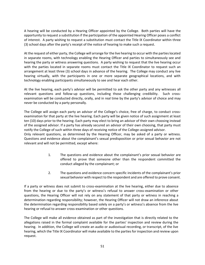A hearing will be conducted by a Hearing Officer appointed by the College. Both parties will have the opportunity to request a substitution if the participation of the appointed Hearing Officer poses a conflict of interest. A party wishing to request a substitution must contact the Title IX Coordinator within three (3) school days after the party's receipt of the notice of hearing to make such a request.

At the request of either party, the College will arrange for the live hearing to occur with the parties located in separate rooms, with technology enabling the Hearing Officer and parties to simultaneously see and hearing the party or witness answering questions. A party wishing to request that the live hearing occur with the parties located in separate rooms must contact the Title IX Coordinator to request such an arrangement at least three (3) school days in advance of the hearing. The College may conduct any live hearing virtually, with the participants in one or more separate geographical locations, and with technology enabling participants simultaneously to see and hear each other.

At the live hearing, each party's advisor will be permitted to ask the other party and any witnesses all relevant questions and follow-up questions, including those challenging credibility. Such crossexamination will be conducted directly, orally, and in real time by the party's advisor of choice and may never be conducted by a party personally.

The College will assign each party an advisor of the College's choice, free of charge, to conduct crossexamination for that party at the live hearing. Each party will be given notice of such assignment at least ten (10) days prior to the hearing. Each party may elect to bring an advisor of their own choosing instead of the assigned advisor. If a party has already secured an advisor of their own choosing, that party must notify the College of such within three days of receiving notice of the College-assigned advisor.

Only relevant questions, as determined by the Hearing Officer, may be asked of a party or witness. Questions and evidence about the complainant's sexual predisposition or prior sexual behavior are not relevant and will not be permitted, except where:

- 1. The questions and evidence about the complainant's prior sexual behavior are offered to prove that someone other than the respondent committed the conduct alleged by the complainant; or
- 2. The questions and evidence concern specific incidents of the complainant's prior sexual behavior with respect to the respondent and are offered to prove consent.

If a party or witness does not submit to cross-examination at the live hearing, either due to absence from the hearing or due to the party's or witness's refusal to answer cross-examination or other questions, the Hearing Officer will not rely on any statement of that party or witness in reaching a determination regarding responsibility; however, the Hearing Officer will not draw an inference about the determination regarding responsibility based solely on a party's or witness's absence from the live hearing or refusal to answer cross-examination or other questions.

The College will make all evidence obtained as part of the investigation that is directly related to the allegations raised in the formal complaint available for the parties' inspection and review during the hearing. In addition, the College will create an audio or audiovisual recording, or transcript, of the live hearing, which the Title IX Coordinator will make available to the parties for inspection and review upon request.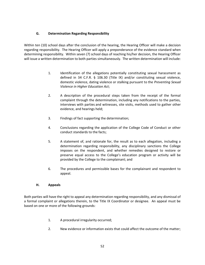### **G. Determination Regarding Responsibility**

Within ten (10) school days after the conclusion of the hearing, the Hearing Officer will make a decision regarding responsibility. The Hearing Officer will apply a preponderance of the evidence standard when determining responsibility. Within seven (7) school days of reaching his/her decision, the Hearing Officer will issue a written determination to both parties simultaneously. The written determination will include:

- 1. Identification of the allegations potentially constituting sexual harassment as defined in 34 C.F.R. § 106.30 (Title IX) and/or constituting sexual violence, domestic violence, dating violence or stalking pursuant to the *Preventing Sexual Violence in Higher Education Act*;
- 2. A description of the procedural steps taken from the receipt of the formal complaint through the determination, including any notifications to the parties, interviews with parties and witnesses, site visits, methods used to gather other evidence, and hearings held;
- 3. Findings of fact supporting the determination;
- 4. Conclusions regarding the application of the College Code of Conduct or other conduct standards to the facts;
- 5. A statement of, and rationale for, the result as to each allegation, including a determination regarding responsibility, any disciplinary sanctions the College imposes on the respondent, and whether remedies designed to restore or preserve equal access to the College's education program or activity will be provided by the College to the complainant; and
- 6. The procedures and permissible bases for the complainant and respondent to appeal.

#### **H. Appeals**

Both parties will have the right to appeal any determination regarding responsibility, and any dismissal of a formal complaint or allegations therein, to the Title IX Coordinator or designee. An appeal must be based on one or more of the following grounds:

- 1. A procedural irregularity occurred;
- 2. New evidence or information exists that could affect the outcome of the matter;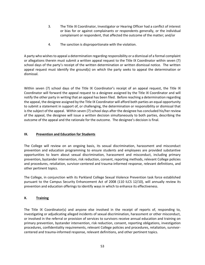- 3. The Title IX Coordinator, Investigator or Hearing Officer had a conflict of interest or bias for or against complainants or respondents generally, or the individual complainant or respondent, that affected the outcome of the matter; and/or
- 4. The sanction is disproportionate with the violation.

A party who wishes to appeal a determination regarding responsibility or a dismissal of a formal complaint or allegations therein must submit a written appeal request to the Title IX Coordinator within seven (7) school days of the party's receipt of the written determination or written dismissal notice. The written appeal request must identify the ground(s) on which the party seeks to appeal the determination or dismissal.

Within seven (7) school days of the Title IX Coordinator's receipt of an appeal request, the Title IX Coordinator will forward the appeal request to a designee assigned by the Title IX Coordinator and will notify the other party in writing that an appeal has been filed. Before reaching a determination regarding the appeal, the designee assigned by the Title IX Coordinator will afford both parties an equal opportunity to submit a statement in support of, or challenging, the determination or responsibility or dismissal that is the subject of the appeal. Within seven (7) school days after the designee has concluded his/her review of the appeal, the designee will issue a written decision simultaneously to both parties, describing the outcome of the appeal and the rationale for the outcome. The designee's decision is final.

#### **IX. Prevention and Education for Students**

The College will review on an ongoing basis, its sexual discrimination, harassment and misconduct prevention and education programming to ensure students and employees are provided substantive opportunities to learn about sexual discrimination, harassment and misconduct, including primary prevention, bystander intervention, risk reduction, consent, reporting methods, relevant College policies and procedures, retaliation, survivor-centered and trauma-informed response, relevant definitions, and other pertinent topics.

The College, in conjunction with its Parkland College Sexual Violence Prevention task force established pursuant to the Campus Security Enhancement Act of 2008 (110 ILCS 12/10), will annually review its prevention and education offerings to identify ways in which to enhance its effectiveness.

#### **X. Training**

The Title IX Coordinator(s) and anyone else involved in the receipt of reports of, responding to, investigating or adjudicating alleged incidents of sexual discrimination, harassment or other misconduct, or involved in the referral or provision of services to survivors receive annual education and training on primary prevention, bystander intervention, risk reduction, consent, reporting obligations, investigation procedures, confidentiality requirements, relevant College policies and procedures, retaliation, survivorcentered and trauma-informed response, relevant definitions, and other pertinent topics.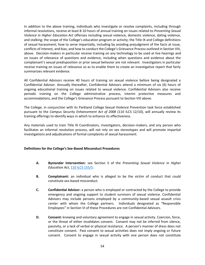In addition to the above training, individuals who investigate or resolve complaints, including through informal resolutions, receive at least 8-10 hours of annual training on issues related to *Preventing Sexual Violence in Higher Education Act* offenses including sexual violence, domestic violence, dating violence, and stalking; the scope of the College's education program or activity; the Title IX and College definitions of sexual harassment; how to serve impartially, including by avoiding prejudgment of the facts at issue, conflicts of interest, and bias; and how to conduct the College's Grievance Process outlined in Section VIII, above. Decision-makers in particular receive training on any technology to be used at live hearings and on issues of relevance of questions and evidence, including when questions and evidence about the complainant's sexual predisposition or prior sexual behavior are not relevant. Investigators in particular receive training on issues of relevance so as to enable them to create an investigative report that fairly summarizes relevant evidence.

All Confidential Advisors receive 40 hours of training on sexual violence before being designated a Confidential Advisor. Annually thereafter, Confidential Advisors attend a minimum of six (6) hours of ongoing educational training on issues related to sexual violence. Confidential Advisors also receive periodic training on the College administrative process, interim protective measures and accommodations, and the College's Grievance Process pursuant to Section VIII above.

The College, in conjunction with its Parkland College Sexual Violence Prevention task force established pursuant to the *Campus Security Enhancement Act of 2008* (110 ILCS 12/10), will annually review its training offerings to identify ways in which to enhance its effectiveness.

Any materials used to train Title IX Coordinators, investigators, decision-makers, and any person who facilitates an informal resolution process, will not rely on sex stereotypes and will promote impartial investigations and adjudications of formal complaints of sexual harassment.

#### **Definitions for the College's Sex-Based Misconduct Procedures**

- **A. Bystander Intervention:** see Section 5 of the *Preventing Sexual Violence in Higher Education Act*, [110 ILCS 155/5.](http://www.ilga.gov/legislation/ilcs/ilcs3.asp?ActID=3672&ChapterID=18)
- **B. Complainant:** an individual who is alleged to be the victim of conduct that could constitute sex-based misconduct.
- **C. Confidential Advisor:** a person who is employed or contracted by the College to provide emergency and ongoing support to student survivors of sexual violence. Confidential Advisors may include persons employed by a community-based sexual assault crisis center with whom the College partners. Individuals designated as "Responsible Employees" in Section VI of these Procedures are not Confidential Advisors.
- **D. Consent:** knowing and voluntary agreement to engage in sexual activity. Coercion, force, or the threat of either invalidates consent. Consent may not be inferred from silence, passivity, or a lack of verbal or physical resistance. A person's manner of dress does not constitute consent. Past consent to sexual activities does not imply ongoing or future consent. Consent to engage in sexual activity with one person does not constitute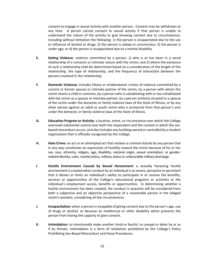consent to engage in sexual activity with another person. Consent may be withdrawn at any time. A person cannot consent to sexual activity if that person is unable to understand the nature of the activity or give knowing consent due to circumstances, including without limitation the following: 1) the person is incapacitated due to the use or influence of alcohol or drugs; 2) the person is asleep or unconscious; 3) the person is under age; or 4) the person is incapacitated due to a mental disability.

- **E. Dating Violence**: violence committed by a person: 1) who is or has been in a social relationship of a romantic or intimate nature with the victim; and 2) where the existence of such a relationship shall be determined based on a consideration of the length of the relationship, the type of relationship, and the frequency of interaction between the persons involved in the relationship.
- **F. Domestic Violence:** includes felony or misdemeanor crimes of violence committed by a current or former spouse or intimate partner of the victim, by a person with whom the victim shares a child in common, by a person who is cohabitating with or has cohabitated with the victim as a spouse or intimate partner, by a person similarly situated to a spouse of the victim under the domestic or family violence laws of the State of Illinois, or by any other person against an adult or youth victim who is protected from that person's acts under the domestic or family violence laws of the State of Illinois.
- **G. Education Program or Activity:** a location, event, or circumstance over which the College exercised substantial control over both the respondent and the context in which the sexbased misconduct occurs, and also includes any building owned or controlled by a student organization that is officially recognized by the College.
- **H. Hate Crime:** an act or an attempted act that violates a criminal statute by any person that in any way constitutes an expression of hostility toward the victim because of his or her sex, race, ethnicity, religion, age, disability, national origin, sexual orientation, or genderrelated identity, color, marital status, military status or unfavorable military discharge.
- **I. Hostile Environment Caused by Sexual Harassment:** a sexually harassing hostile environment is created when conduct by an individual is so severe, pervasive or persistent that it denies or limits an individual's ability to participate in or receive the benefits, services or opportunities of the College's educational programs or activities or the individual's employment access, benefits or opportunities. In determining whether a hostile environment has been created, the conduct in question will be considered from both a subjective and an objective perspective of a reasonable person in the alleged victim's position, considering all the circumstances.
- **J. Incapacitation:** when a person is incapable of giving consent due to the person's age, use of drugs or alcohol, or because an intellectual or other disability which prevents the person from having the capacity to give consent.
- **K. Intimidation:** to intentionally make another timid or fearful, to compel or deter by or as if by threats. Intimidation is a form of retaliation prohibited by the College's Policy Prohibiting Sex-Based Misconduct and these Procedures.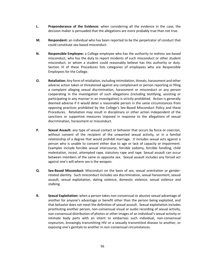- **L. Preponderance of the Evidence:** when considering all the evidence in the case, the decision-maker is persuaded that the allegations are more probably true than not true.
- **M. Respondent:** an individual who has been reported to be the perpetrator of conduct that could constitute sex-based misconduct.
- **N. Responsible Employee:** a College employee who has the authority to redress sex-based misconduct, who has the duty to report incidents of such misconduct or other student misconduct, or whom a student could reasonably believe has this authority or duty. Section VI of these Procedures lists categories of employees who are Responsible Employees for the College.
- **O. Retaliation:** Any form of retaliation, including intimidation, threats, harassment and other adverse action taken or threatened against any complainant or person reporting or filing a complaint alleging sexual discrimination, harassment or misconduct or any person cooperating in the investigation of such allegations (including testifying, assisting or participating in any manner in an investigation) is strictly prohibited. Action is generally deemed adverse if it would deter a reasonable person in the same circumstances from opposing practices prohibited by the College's Sex-Based Misconduct Policy and these Procedures. Retaliation may result in disciplinary or other action independent of the sanctions or supportive measures imposed in response to the allegations of sexual discrimination, harassment or misconduct.
- **P. Sexual Assault:** any type of sexual contact or behavior that occurs by force or coercion, without consent of the recipient of the unwanted sexual activity, or in a familial relationship of a degree that would prohibit marriage. It includes sexual acts against a person who is unable to consent either due to age or lack of capacity or impairment. Examples include forcible sexual intercourse, forcible sodomy, forcible fondling, child molestation, incest, attempted rape, statutory rape and rape. Sexual assault can occur between members of the same or opposite sex. Sexual assault includes any forced act against one's will where sex is the weapon.
- **Q. Sex-Based Misconduct:** Misconduct on the basis of sex, sexual orientation or genderrelated identity. Such misconduct includes sex discrimination, sexual harassment, sexual assault, sexual exploitation, dating violence, domestic violence, sexual violence and stalking.
- **R. Sexual Exploitation:** when a person takes non-consensual or abusive sexual advantage of another for anyone's advantage or benefit other than the person being exploited, and that behavior does not meet the definition of sexual assault. Sexual exploitation includes prostituting another person, non-consensual visual or audio recording of sexual activity, non-consensual distribution of photos or other images of an individual's sexual activity or intimate body parts with an intent to embarrass such individual, non-consensual voyeurism, knowingly transmitting HIV or a sexually transmitted disease to another, or exposing one's genitals to another in non-consensual circumstances.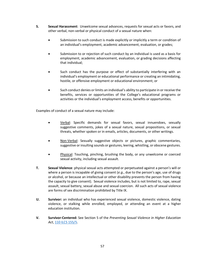- **S. Sexual Harassment**: Unwelcome sexual advances, requests for sexual acts or favors, and other verbal, non-verbal or physical conduct of a sexual nature when:
	- Submission to such conduct is made explicitly or implicitly a term or condition of an individual's employment, academic advancement, evaluation, or grades;
	- Submission to or rejection of such conduct by an individual is used as a basis for employment, academic advancement, evaluation, or grading decisions affecting that individual;
	- Such conduct has the purpose or effect of substantially interfering with an individual's employment or educational performance or creating an intimidating, hostile, or offensive employment or educational environment; or
	- Such conduct denies or limits an individual's ability to participate in or receive the benefits, services or opportunities of the College's educational programs or activities or the individual's employment access, benefits or opportunities.

Examples of conduct of a sexual nature may include:

- Verbal: Specific demands for sexual favors, sexual innuendoes, sexually suggestive comments, jokes of a sexual nature, sexual propositions, or sexual threats, whether spoken or in emails, articles, documents, or other writings.
- Non-Verbal: Sexually suggestive objects or pictures, graphic commentaries, suggestive or insulting sounds or gestures, leering, whistling, or obscene gestures.
- Physical: Touching, pinching, brushing the body, or any unwelcome or coerced sexual activity, including sexual assault.
- **T. Sexual Violence**: physical sexual acts attempted or perpetuated against a person's will or where a person is incapable of giving consent (*e.g.*, due to the person's age, use of drugs or alcohol, or because an intellectual or other disability prevents the person from having the capacity to give consent). Sexual violence includes, but is not limited to, rape, sexual assault, sexual battery, sexual abuse and sexual coercion. All such acts of sexual violence are forms of sex discrimination prohibited by Title IX.
- **U. Survivor:** an individual who has experienced sexual violence, domestic violence, dating violence, or stalking while enrolled, employed, or attending an event at a higher education institution.
- **V. Survivor-Centered:** See Section 5 of the *Preventing Sexual Violence in Higher Education Act*, [110 ILCS 155/5.](http://www.ilga.gov/legislation/ilcs/ilcs3.asp?ActID=3672&ChapterID=18)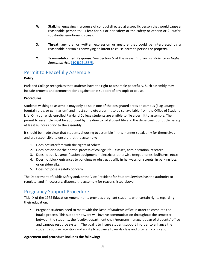- **W. Stalking:** engaging in a course of conduct directed at a specific person that would cause a reasonable person to: 1) fear for his or her safety or the safety or others; or 2) suffer substantial emotional distress.
- **X. Threat**: any oral or written expression or gesture that could be interpreted by a reasonable person as conveying an intent to cause harm to persons or property.
- **Y. Trauma-Informed Response:** See Section 5 of the *Preventing Sexual Violence in Higher Education Act*, [110 ILCS 155/5.](http://www.ilga.gov/legislation/ilcs/ilcs3.asp?ActID=3672&ChapterID=18)

## Permit to Peacefully Assemble

### **Policy**

Parkland College recognizes that students have the right to assemble peacefully. Such assembly may include protests and demonstrations against or in support of any topic or cause.

#### **Procedures**

Students wishing to assemble may only do so in one of the designated areas on campus (Flag Lounge, fountain area, or gymnasium) and must complete a permit to do so, available from the Office of Student Life. Only currently enrolled Parkland College students are eligible to file a permit to assemble. The permit to assemble must be approved by the director of student life and the department of public safety at least 48 hours prior to the assembly.

It should be made clear that students choosing to assemble in this manner speak only for themselves and are responsible to ensure that the assembly:

- 1. Does not interfere with the rights of others
- 2. Does not disrupt the normal process of college life classes, administration, research;
- 3. Does not utilize amplification equipment electric or otherwise (megaphones, bullhorns, etc.);
- 4. Does not block entrances to buildings or obstruct traffic in hallways, on streets, in parking lots, or on sidewalks;
- 5. Does not pose a safety concern.

The Department of Public Safety and/or the Vice President for Student Services has the authority to regulate, and if necessary, disperse the assembly for reasons listed above.

## Pregnancy Support Procedure

Title IX of the 1972 Education Amendments provides pregnant students with certain rights regarding their education.

• Pregnant students need to meet with the Dean of Students office in order to complete the intake process. This support network will involve communication throughout the semester between the students, the faculty, department chair/program manager, dean of students' office and campus resource system. The goal is to insure student support in order to enhance the student's course retention and ability to advance towards class and program completion.

#### **Agreement and procedure includes the following:**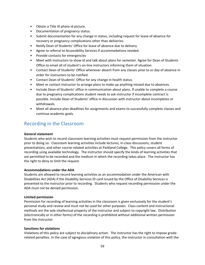- Obtain a Title IX photo id picture.
- Documentation of pregnancy status.
- Submit documentation for any change in status, including request for leave of absence for recovery or pregnancy complications other than deliveries.
- Notify Dean of Students' Office for leave of absence due to delivery.
- Agree to referral to Accessibility Services if accommodations needed.
- Provide contacts for emergencies
- Meet with instructors to show id and talk about plans for semester. Agree for Dean of Students Office to email all of student's on-line instructors informing them of situation.
- Contact Dean of Students' Office whenever absent from any classes prior to or day of absence in order for instructors to be notified.
- Contact Dean of Students' Office for any change in health status.
- Meet or contact instructor to arrange plans to make up anything missed due to absences.
- Include Dean of Students' office in communication about plans. If unable to complete a course due to pregnancy complications student needs to ask instructor if incomplete contract is possible. Include Dean of Students' office in discussion with instructor about incompletes or withdrawals.
- Meet all absence plan deadlines for assignments and exams to successfully complete classes and continue academic goals.

## Recording in the Classroom

#### **General statement**

Students who wish to record classroom learning activities must request permission from the instructor prior to doing so. Classroom learning activities include lectures, in-class discussions, student presentations, and other course-related activities at Parkland College. This policy covers all forms of recording using available technology. The instructor should specify the kinds of learning activities that are permitted to be recorded and the medium in which the recording takes place. The instructor has the right to deny or limit the request.

#### **Accommodations under the ADA**

Students are allowed to record learning activities as an accommodation under the American with Disabilities Act (ADA) if the Disability Services ID card issued by the Office of Disability Services is presented to the instructor prior to recording. Students who request recording permission under the ADA must not be denied permission.

#### **Limited permission**

Permission for recording of learning activities in the classroom is given exclusively for the student's personal study and review and must not be used for other purposes. Class content and instructional methods are the sole intellectual property of the instructor and subject to copyright law. Distribution (electronically or in other forms) of the recording is prohibited without additional written permission from the instructor.

#### **Sanctions for violations**

Violations of this policy are subject to disciplinary action. The instructor has the right to impose graderelated penalties. In the case of egregious violation of this policy, the instructor in consultation with the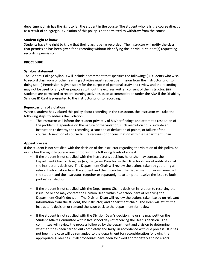department chair has the right to fail the student in the course. The student who fails the course directly as a result of an egregious violation of this policy is not permitted to withdraw from the course.

#### **Student right to know**

Students have the right to know that their class is being recorded. The instructor will notify the class that permission has been given for a recording without identifying the individual student(s) requesting recording permission.

#### **PROCEDURE**

#### **Syllabus statement**

The General College Syllabus will include a statement that specifies the following: (i) Students who wish to record classroom or other learning activities must request permission from the instructor prior to doing so; (ii) Permission is given solely for the purpose of personal study and review and the recording may not be used for any other purposes without the express written consent of the instructor; (iii) Students are permitted to record learning activities as an accommodation under the ADA if the Disability Services ID Card is presented to the instructor prior to recording.

#### **Repercussions of violations**

When a student has violated this policy about recording in the classroom, the instructor will take the following steps to address the violation:

• The instructor will inform the student privately of his/her findings and attempt a resolution of the problem. Depending on the nature of the violation, such resolution could include an instruction to destroy the recording, a sanction of deduction of points, or failure of the course. A sanction of course failure requires prior consultation with the Department Chair.

#### **Appeal process**

If the student is not satisfied with the decision of the instructor regarding the violation of this policy, he or she has the right to pursue one or more of the following levels of appeal:

- If the student is not satisfied with the instructor's decision, he or she may contact the Department Chair or designee (e.g., Program Director) within 10 school days of notification of the instructor's decision. The Department Chair will review the actions taken by gathering all relevant information from the student and the instructor. The Department Chair will meet with the student and the instructor, together or separately, to attempt to resolve the issue to both parties' satisfaction.
- If the student is not satisfied with the Department Chair's decision in relation to resolving the issue, he or she may contact the Division Dean within five school days of receiving the Department Chair's decision. The Division Dean will review the actions taken based on relevant information from the student, the instructor, and department chair. The Dean will affirm the instructor's decision or remand the issue back to the department for review.
- If the student is not satisfied with the Division Dean's decision, he or she may petition the Student Affairs Committee within five school days of receiving the Dean's decision**.** The committee will review the process followed by the department and division to determine whether it has been carried out completely and fairly, in accordance with due process. If it has not been, the case will be remanded to the department for reconsideration following the appropriate guidelines. If all procedures have been followed appropriately and no errors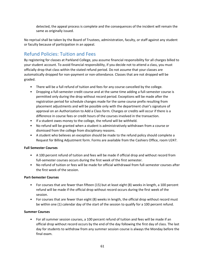detected, the appeal process is complete and the consequences of the incident will remain the same as originally issued.

No reprisal shall be taken by the Board of Trustees, administration, faculty, or staff against any student or faculty because of participation in an appeal.

# Refund Policies: Tuition and Fees

By registering for classes at Parkland College, you assume financial responsibility for all charges billed to your student account. To avoid financial responsibility, if you decide not to attend a class, you must officially drop that class within the stated refund period. Do not assume that your classes are automatically dropped for non-payment or non-attendance. Classes that are not dropped will be graded.

- There will be a full refund of tuition and fees for any course cancelled by the college.
- Dropping a full-semester credit course and at the same time adding a full-semester course is permitted only during the drop without record period. Exceptions will be made after the registration period for schedule changes made for the same course prefix resulting from placement adjustments and will be possible only with the department chair's signature of approval on an Authorization to Add a Class form. Charges or credits will occur if there is a difference in course fees or credit hours of the courses involved in the transaction.
- If a student owes money to the college, the refund will be withheld.
- No refund will be granted when a student is administratively withdrawn from a course or dismissed from the college from disciplinary reasons.
- A student who believes an exception should be made to the refund policy should complete a Request for Billing Adjustment form. Forms are available from the Cashiers Office, room U247.

#### **Full Semester Courses**

- A 100 percent refund of tuition and fees will be made if official drop and without record from full-semester courses occurs during the first week of the first semester.
- No refund of tuition or fees will be made for official withdrawal from full-semester courses after the first week of the session.

#### **Part-Semester Courses**

- For courses that are fewer than fifteen (15) but at least eight (8) weeks in length, a 100 percent refund will be made if the official drop without record occurs during the first week of the session.
- For courses that are fewer than eight (8) weeks in length, the official drop without record must be within one (1) calendar day of the start of the session to qualify for a 100 percent refund.

#### **Summer Courses**

• For all summer session courses, a 100 percent refund of tuition and fees will be made if an official drop without record occurs by the end of the day following the first day of class. The last day for students to withdraw from any summer session course is always the Monday before the final exam.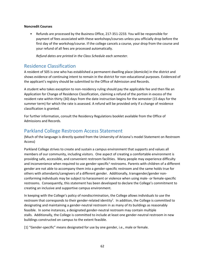#### **Noncredit Courses**

• Refunds are processed by the Business Office, 217-351-2233. You will be responsible for payment of fees associated with these workshops/courses unless you officially drop before the first day of the workshop/course. If the college cancels a course, your drop from the course and your refund of all fees are processed automatically.

*Refund dates are printed in the Class Schedule each semester.* 

## Residence Classification

A resident of 505 is one who has established a permanent dwelling place (domicile) in the district and shows evidence of continuing intent to remain in the district for non-educational purposes. Evidenced of the applicant's registry should be submitted to the Office of Admission and Records.

A student who takes exception to non-residency ruling should pay the applicable fee and then file an Application for Change of Residence Classification, claiming a refund of the portion in excess of the resident rate within thirty (30) days from the date instruction begins for the semester (15 days for the summer term) for which the rate is assessed. A refund will be provided only if a change of residence classification is granted.

For further information, consult the Residency Regulations booklet available from the Office of Admissions and Records.

## Parkland College Restroom Access Statement

(Much of the language is directly quoted from the University of Arizona's model Statement on Restroom Access)

Parkland College strives to create and sustain a campus environment that supports and values all members of our community, including visitors. One aspect of creating a comfortable environment is providing safe, accessible, and convenient restroom facilities. Many people may experience difficulty and inconvenience when required to use gender-specific<sup>1</sup> restrooms. Parents with children of a different gender are not able to accompany them into a gender-specific restroom and the same holds true for others with attendants/caregivers of a different gender. Additionally, transgender/gender nonconforming individuals may be subject to harassment or violence when using male- or female-specific restrooms. Consequently, this statement has been developed to declare the College's commitment to creating an inclusive and supportive campus environment.

In keeping with the College's policy of nondiscrimination, the College allows individuals to use the restroom that corresponds to their gender-related identity<sup>2</sup>. In addition, the College is committed to designating and maintaining a gender-neutral restroom in as many of its buildings as reasonably feasible. In some instances, a designated gender-neutral restroom may contain multiple stalls. Additionally, the College is committed to include at least one gender-neutral restroom in new buildings constructed on campus to the extent feasible.

[1] "Gender-specific" means designated for use by one gender, i.e., male or female.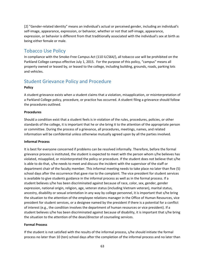[2] "Gender-related identity" means an individual's actual or perceived gender, including an individual's self-image, appearance, expression, or behavior, whether or not that self-image, appearance, expression, or behavior is different from that traditionally associated with the individual's sex at birth as being either female or male.

# Tobacco Use Policy

In compliance with the Smoke-Free Campus Act (110 ILCS64/), all tobacco use will be prohibited on the Parkland College campus effective July 1, 2015. For the purpose of this policy, "campus" means all property owned or leased by, or leased to the college, including building, grounds, roads, parking lots and vehicles.

# Student Grievance Policy and Procedure

#### **Policy**

A student grievance exists when a student claims that a violation, misapplication, or misinterpretation of a Parkland College policy, procedure, or practice has occurred. A student filing a grievance should follow the procedures outlined.

#### **Procedures**

Should a condition exist that a student feels is in violation of the rules, procedures, policies, or other standards of the college, it is important that he or she bring it to the attention of the appropriate person or committee. During the process of a grievance, all procedures, meetings, names, and related information will be confidential unless otherwise mutually agreed upon by all the parties involved.

#### **Informal Process**

It is best for everyone concerned if problems can be resolved informally. Therefore, before the formal grievance process is instituted, the student is expected to meet with the person whom s/he believes has violated, misapplied, or misinterpreted the policy or procedure. If the student does not believe that s/he is able to do that, s/he needs to meet and discuss the incident with the supervisor of the staff or department chair of the faculty member. This informal meeting needs to take place no later than five (5) school days after the occurrence that gave rise to the complaint. The vice president for student services is available to give students guidance in the informal process as well as in the formal process. If a student believes s/he has been discriminated against because of race, color, sex, gender, gender expression, national origin, religion, age, veteran status (including Vietnam veteran), marital status, ancestry, disability or sexual orientation in any way by college personnel, it is important that s/he bring the situation to the attention of the employee relations manager in the Office of Human Resources, vice president for student services, or a designee named by the president if there is a potential for a conflict of interest (e.g., the condition involves the department of human resources or vice president). If a student believes s/he has been discriminated against because of disability, it is important that s/he bring the situation to the attention of the dean/director of counseling services.

#### **Formal Process**

If the student is not satisfied with the results of the informal process, s/he should initiate the formal process no later than 10 (ten) school days after the completion of the informal process and no later than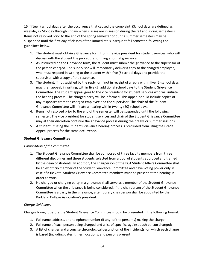15 (fifteen) school days after the occurrence that caused the complaint. (School days are defined as weekdays - Monday through Friday- when classes are in session during the fall and spring semesters). Items not resolved prior to the end of the spring semester or during summer semesters may be suspended until the first day of classes of the immediate subsequent fall semester, following the guidelines below.

- 1. The student must obtain a Grievance form from the vice president for student services, who will discuss with the student the procedure for filing a formal grievance.
- 2. As instructed on the Grievance form, the student must submit the grievance to the supervisor of the person charged. The supervisor will immediately deliver a copy to the charged employee, who must respond in writing to the student within five (5) school days and provide the supervisor with a copy of the response.
- 3. The student, if not satisfied by the reply, or if not in receipt of a reply within five (5) school days, may then appeal, in writing, within five (5) additional school days to the Student Grievance Committee. The student appeal goes to the vice president for student services who will initiate the hearing process. The charged party will be informed. This appeal should include copies of any responses from the charged employee and the supervisor. The chair of the Student Grievance Committee will initiate a hearing within twenty (20) school days.
- 4. Items not resolved prior to the end of the semester will be suspended until the following semester. The vice president for student services and chair of the Student Grievance Committee may at their discretion continue the grievance process during the breaks or summer sessions.
- 5. A student utilizing the Student Grievance hearing process is precluded from using the Grade Appeal process for the same occurrence.

#### **Student Grievance Committee**

#### *Composition of the committee*

- 1. The Student Grievance Committee shall be composed of three faculty members from three different disciplines and three students selected from a pool of students approved and trained by the dean of students. In addition, the chairperson of the PCA Student Affairs Committee shall be an ex officio member of the Student Grievance Committee and have voting power only in case of a tie vote. Student Grievance Committee members must be present at the hearing in order to vote.
- 2. No charged or charging party in a grievance shall serve as a member of the Student Grievance Committee when the grievance is being considered. If the chairperson of the Student Grievance Committee is a party in the grievance, a temporary chairperson shall be appointed by the Parkland College Association's president.

#### *Charge Guidelines*

Charges brought before the Student Grievance Committee should be presented in the following format:

- 1. Full name, address, and telephone number (if any) of the person(s) making the charge;
- 2. Full name of each person being charged and a list of specifics against each person charged;
- 3. A list of charges and a concise chronological description of the incident(s) on which each charge is based (including dates, times, locations, and persons present);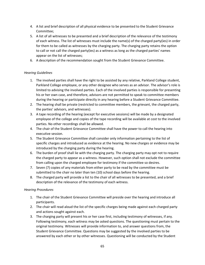- 4. A list and brief description of all physical evidence to be presented to the Student Grievance Committee;
- 5. A list of all witnesses to be presented and a brief description of the relevance of the testimony of each witness. The list of witnesses must include the name(s) of the charged party(ies) in order for them to be called as witnesses by the charging party. The charging party retains the option to call or not call the charged party(ies) as a witness as long as the charged parties' names appear on the list of witnesses;
- 6. A description of the recommendation sought from the Student Grievance Committee.

#### *Hearing Guidelines*

- 1. The involved parties shall have the right to be assisted by any relative, Parkland College student, Parkland College employee, or any other designee who serves as an advisor. The advisor's role is limited to advising the involved parties. Each of the involved parties is responsible for presenting his or her own case, and therefore, advisors are not permitted to speak to committee members during the hearing or participate directly in any hearing before a Student Grievance Committee.
- 2. The hearing shall be private (restricted to committee members, the grievant, the charged party, the parties' advisors, and witnesses).
- 3. A tape recording of the hearing (except for executive sessions) will be made by a designated employee of the college and copies of the tape recording will be available at cost to the involved parties. No other recordings shall be allowed.
- 4. The chair of the Student Grievance Committee shall have the power to call the hearing into executive session.
- 5. The Student Grievance Committee shall consider only information pertaining to the list of specific charges and introduced as evidence at the hearing. No new charges or evidence may be introduced by the charging party during the hearing.
- 6. The burden of proof shall lie with the charging party. The charging party may opt not to require the charged party to appear as a witness. However, such option shall not exclude the committee from calling upon the charged employee for testimony if the committee so desires.
- 7. Seven (7) copies of any materials from either party to be read by the committee must be submitted to the chair no later than ten (10) school days before the hearing.
- 8. The charged party will provide a list to the chair of all witnesses to be presented, and a brief description of the relevance of the testimony of each witness.

#### *Hearing Procedures*

- 1. The chair of the Student Grievance Committee will preside over the hearing and introduce all participants.
- 2. The chair will read aloud the list of the specific charges being made against each charged party and actions sought against each.
- 3. The charging party will present his or her case first, including testimony of witnesses, if any. Following testimony, each witness may be asked questions. The questioning must pertain to the original testimony. Witnesses will provide information to, and answer questions from, the Student Grievance Committee. Questions may be suggested by the involved parties to be answered by each other or by other witnesses. Questioning will be conducted by the Student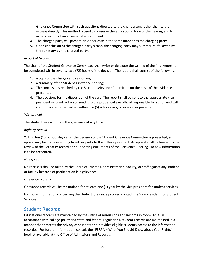Grievance Committee with such questions directed to the chairperson, rather than to the witness directly. This method is used to preserve the educational tone of the hearing and to avoid creation of an adversarial environment.

- 4. The charged party will present his or her case in the same manner as the charging party.
- 5. Upon conclusion of the charged party's case, the charging party may summarize, followed by the summary by the charged party.

#### *Report of Hearing*

The chair of the Student Grievance Committee shall write or delegate the writing of the final report to be completed within seventy-two (72) hours of the decision. The report shall consist of the following:

- 1. a copy of the charges and responses;
- 2. a summary of the Student Grievance hearing;
- 3. The conclusions reached by the Student Grievance Committee on the basis of the evidence presented;
- 4. The decisions for the disposition of the case. The report shall be sent to the appropriate vice president who will act on or send it to the proper college official responsible for action and will communicate to the parties within five (5) school days, or as soon as possible.

#### *Withdrawal*

The student may withdraw the grievance at any time.

#### *Right of Appeal*

Within ten (10) school days after the decision of the Student Grievance Committee is presented, an appeal may be made in writing by either party to the college president. An appeal shall be limited to the review of the verbatim record and supporting documents of the Grievance Hearing. No new information is to be presented.

#### *No reprisals*

No reprisals shall be taken by the Board of Trustees, administration, faculty, or staff against any student or faculty because of participation in a grievance.

#### *Grievance records*

Grievance records will be maintained for at least one (1) year by the vice president for student services.

For more information concerning the student grievance process, contact the Vice President for Student Services.

## Student Records

Educational records are maintained by the Office of Admissions and Records in room U214. In accordance with college policy and state and federal regulations, student records are maintained in a manner that protects the privacy of students and provides eligible students access to the information recorded. For further information, consult the "FERPA – What You Should Know about Your Rights" booklet available at the Office of Admissions and Records.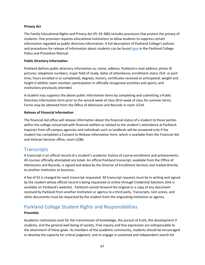#### **Privacy Act**

The Family Educational Rights and Privacy Act (PL 93-380) includes provisions that protect the privacy of students. One provision requires educational institutions to allow students to suppress certain information regarded as public directory information. A full description of Parkland College's policies and procedures for release of information about students can be found [here](https://www.parkland.edu/Portals/3/Global/Documents/PoliciesProcedures/Policies%20and%20Procedures.pdf?ver=dQ0bUNFQEEMpOPSBohr-5w%3d%3d#page=136) in the Parkland College Policy and Procedure Manual.

#### **Public Directory Information**

Parkland defines public directory information as: name; address; Parkland e-mail address; photo ID pictures; telephone numbers; major field of study; dates of attendance; enrollment status (full- or parttime, hours enrolled in or completed); degrees, honors, certificates received or anticipated; weight and height if athletic team member; participation in officially recognized activities and sports; and institutions previously attended.

A student may suppress the above public information items by completing and submitting a Public Directory Information form prior to the second week of class (first week of class for summer term). Forms may be obtained from the Office of Admission and Records in room U214.

#### **Release of Financial Information**

The financial Aid office will release information about the financial status of a student to those parties within the college concerned with financial welfare as related to the student's attendance at Parkland. Inquiries from off-campus agencies and individuals such as landlords will be answered only if the student has completed a Consent to Release Information form, which is available from the Financial Aid and Veteran Services office, room U286.

## **Transcripts**

A transcript is an official record of a student's academic history of course enrollment and achievements. All courses officially attempted are listed. An official Parkland transcript, available from the Office of Admissions and Records, is signed and dated by the Director of Enrollment Services and mailed directly to another institution or business.

A fee of \$5 is charged for each transcript requested. All transcript requests must be in writing and signed by the student whose official record is being requested or online through Credential Solutions (link is available on Parkland's website). Parkland cannot forward the original or a copy of any document received by Parkland from another institution or agency to a third party. Transcripts, test scores, and other documents must be requested by the student from the originating institution or agency.

# Parkland College Student Rights and Responsibilities

#### **Preamble**

Academic institutions exist for the transmission of knowledge, the pursuit of truth, the development if students, and the general well-being of society. Free inquiry and free expression are indispensable to the attainment of these goals. As members of the academic community, students should be encouraged to develop the capacity for critical judgment, and to engage in sustained and independent search for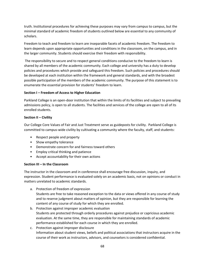truth. Institutional procedures for achieving these purposes may vary from campus to campus, but the minimal standard of academic freedom of students outlined below are essential to any community of scholars.

Freedom to teach and freedom to learn are inseparable facets of academic freedom. The freedom to learn depends upon appropriate opportunities and conditions in the classroom, on the campus, and in the larger community. Students should exercise their freedom with responsibility.

The responsibility to secure and to respect general conditions conducive to the freedom to learn is shared by all members of the academic community. Each college and university has a duty to develop policies and procedures which provide and safeguard this freedom. Such policies and procedures should be developed at each institution within the framework and general standards, and with the broadest possible participation of the members of the academic community. The purpose of this statement is to enumerate the essential provision for students' freedom to learn.

#### **Section I – Freedom of Access to Higher Education**

Parkland College is an open-door institution that within the limits of its facilities and subject to prevailing admissions policy, is open to all students. The facilities and services of the college are open to all of its enrolled students.

#### **Section II – Civility**

Our College Core Values of Fair and Just Treatment serve as guideposts for civility. Parkland College is committed to campus-wide civility by cultivating a community where the faculty, staff, and students:

- Respect people and property
- Show empathy tolerance
- Demonstrate concern for and fairness toward others
- Employ critical thinking and patience
- Accept accountability for their own actions

#### **Section III – In the Classroom**

The instructor in the classroom and in conference shall encourage free discussion, inquiry, and expression. Student performance is evaluated solely on an academic basis, not on opinions or conduct in matters unrelated to academic standards.

- a. Protection of freedom of expression Students are free to take reasoned exception to the data or views offered in any course of study and to reserve judgment about matters of opinion, but they are responsible for learning the content of any course of study for which they are enrolled.
- b. Protection against improper academic evaluation Students are protected through orderly procedures against prejudice or capricious academic evaluation. At the same time, they are responsible for maintaining standards of academic performance established for each course in which they are enrolled.
- c. Protection against improper disclosure Information about student views, beliefs and political associations that instructors acquire in the course of their work as instructors, advisors, and counselors is considered confidential.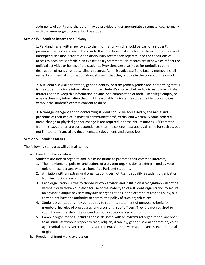Judgments of ability and character may be provided under appropriate circumstances, normally with the knowledge or consent of the student.

#### **Section IV – Student Records and Privacy**

1. Parkland has a written policy as to the information which should be part of a student's permanent educational record, and as to the conditions of its disclosure. To minimize the risk of improper disclosure, academic and disciplinary records are separate, and the conditions of access to each are set forth in an explicit policy statement. No records are kept which reflect the political activities or beliefs of the students. Provisions are also made for periodic routine destruction of noncurrent disciplinary records. Administrative staff and faculty members shall respect confidential information about students that they acquire in the course of their work.

2. A student's sexual orientation, gender identity, or transgender/gender non-conforming status is the student's private information. It is the student's choice whether to discuss these private matters openly, keep this information private, or a combination of both. No college employee may disclose any information that might reasonably indicate the student's identity or status without the student's express consent to do so.

3. A transgender/gender non-conforming student should be addressed by the name and pronouns of their choice in most all communications\*, verbal and written. A court-ordered name change or physical gender change is not required in these circumstances. (\*Exempted from this expectation are correspondences that the college must use legal name for such as, but not limited to, financial aid documents, tax document, and transcripts)

#### **Section V – Student Affairs**

The following standards will be maintained:

- a. Freedom of association
	- Students are free to organize and join associations to promote their common interests,
	- 1. The membership, policies, and actions of a student organization are determined by vote only of those persons who are bona fide Parkland students.
	- 2. Affiliation with an extramural organization does not itself disqualify a student organization from institutional recognition.
	- 3. Each organization is free to choose its own advisor, and institutional recognition will not be withheld or withdrawn solely because of the inability to of a student organization to secure an advisor. Campus advisors may advise organizations in the exercise of responsibility, but they do not have the authority to control the policy of such organizations.
	- 4. Student organizations may be required to submit a statement of purpose, criteria for membership, rules of procedures, and a current list of officers. They are not required to submit a membership list as a condition of institutional recognition.
	- 5. Campus organizations, including those affiliated with an extramural organization, are open to all students without respect to race, religion, disability, gender, sexual orientation, color, age, marital status, veteran status, veteran era, Vietnam veteran era, ancestry, or national origin.
- b. Freedom of inquiry and expression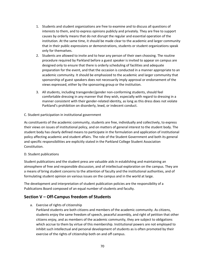- 1. Students and student organizations are free to examine and to discuss all questions of interests to them, and to express opinions publicly and privately. They are free to support causes by orderly means that do not disrupt the regular and essential operation of the institution. At the same time, it should be made clear to the academic and larger community that in their public expressions or demonstrations, students or student organizations speak only for themselves.
- 2. Students are allowed to invite and to hear any person of their own choosing. The routine procedure required by Parkland before a guest speaker is invited to appear on campus are designed only to ensure that there is orderly scheduling of facilities and adequate preparation for the event, and that the occasion is conducted in a manner appropriate to an academic community. It should be emphasized to the academic and larger community that sponsorship of guest speakers does not necessarily imply approval or endorsement of the views expressed, either by the sponsoring group or the institution.
- 3. All students, including transgender/gender non-conforming students, should feel comfortable dressing in any manner that they wish, especially with regard to dressing in a manner consistent with their gender-related identity, as long as this dress does not violate Parkland's prohibition on disorderly, lewd, or indecent conduct.

#### C. Student participation in institutional government

As constituents of the academic community, students are free, individually and collectively, to express their views on issues of institutional policy, and on matters of general interest to the student body. The student body has clearly defined means to participate in the formulation and application of institutional policy affecting academic and student affairs. The role of the Student Government and both its general and specific responsibilities are explicitly stated in the Parkland College Student Association Constitution.

#### D. Student publications

Student publications and the student press are valuable aids in establishing and maintaining an atmosphere of free and responsible discussion, and of intellectual exploration on the campus. They are a means of bring student concerns to the attention of faculty and the institutional authorities, and of formulating student opinion on various issues on the campus and in the world at large.

The development and interpretation of student publication policies are the responsibility of a Publications Board composed of an equal number of students and faculty.

## **Section V – Off-Campus freedom of Students**

- a. Exercise of rights of citizenship
	- Parkland students are both citizens and members of the academic community. As citizens, students enjoy the same freedom of speech, peaceful assembly, and right of petition that other citizens enjoy, and as members of the academic community, they are subject to obligations which accrue to them by virtue of this membership. Institutional powers are not employed to inhibit such intellectual and personal development of students as is often promoted by their exercise of the rights of citizenship both on and off campus.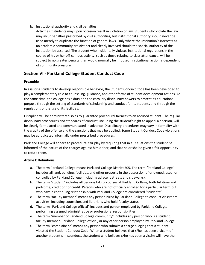- b. Institutional authority and civil penalties
	- Activities if students may upon occasion result in violation of law. Students who violate the law may incur penalties prescribed by civil authorities, but institutional authority should never be used merely to duplicate the function of general laws. Only where the institution's interests as an academic community are distinct and clearly involved should the special authority of the institution be asserted. The student who incidentally violates institutional regulations in the course of his or her off-campus activity, such as those relating to class attendance, will be subject to no greater penalty than would normally be imposed. Institutional action is dependent of community pressure.

## **Section VI - Parkland College Student Conduct Code**

#### **Preamble**

In assisting students to develop responsible behavior, the Student Conduct Code has been developed to play a complementary role to counseling, guidance, and other forms of student development actions. At the same time, the college has a duty and the corollary disciplinary powers to protect its educational purpose through the setting of standards of scholarship and conduct for its students and through the regulations of the use of its facilities.

Discipline will be administered so as to guarantee procedural fairness to an accused student. The regular disciplinary procedures and standards of conduct, including the student's right to appeal a decision, will be clearly formulated and communicated in advance. Disciplinary procedures may vary in formality with the gravity of the offense and the sanctions that may be applied. Some Student Conduct Code violations may be adjudicated informally under prescribed procedures.

Parkland College will adhere to procedural fair play by requiring that in all situations the student be informed of the nature of the charges against him or her, and that he or she be given a fair opportunity to refute them.

#### **Article I: Definitions**

- a. The term Parkland College means Parkland College District 505. The term "Parkland College" includes all land, building, facilities, and other property in the possession of or owned, used, or controlled by Parkland College (including adjacent streets and sidewalks).
- b. The term "student" includes all persons taking courses at Parkland College, both full-time and part-time, credit or noncredit. Persons who are not officially enrolled for a particular term but who have a continuing relationship with Parkland College are considered "students".
- c. The term "faculty member" means any person hired by Parkland College to conduct classroom activities, including counselors and librarians who hold faculty status.
- d. The term "Parkland College official" includes and person employed by Parkland College, performing assigned administrative or professional responsibilities.
- e. The term "member of Parkland College community" includes any person who is a student, faculty member, Parkland College official, or any other person employed by Parkland College.
- f. The term "complainant" means any person who submits a charge alleging that a student violated the Student Conduct Code. When a student believes that s/he has been a victim of another student's misconduct, the student who believes s/he has been a victim will have the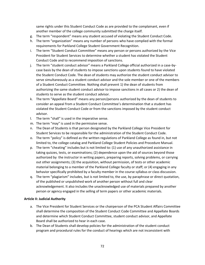same rights under this Student Conduct Code as are provided to the complainant, even if another member of the college community submitted the charge itself.

- g. The term "respondent" means any student accused of violating the Student Conduct Code.
- h. The term "organization" means any number of persons who have complied with the formal requirements for Parkland College Student Government Recognition.
- i. The term "Student Conduct Committee" means any person or persons authorized by the Vice President for Student Services to determine whether a student has violated the Student Conduct Code and to recommend imposition of sanctions.
- j. The term "student conduct advisor" means a Parkland College official authorized in a case-bycase basis by the dean of students to impose sanctions upon students found to have violated the Student Conduct Code. The dean of students may authorize the student conduct advisor to serve simultaneously as a student conduct advisor and the sole member or one of the members of a Student Conduct Committee. Nothing shall prevent 1) the dean of students from authorizing the same student conduct advisor to impose sanctions in all cases or 2) the dean of students to serve as the student conduct advisor.
- k. The term "Appellate Board" means any person/persons authorized by the dean of students to consider an appeal from a Student Conduct Committee's determination that a student has violated the Student Conduct Code or from the sanctions imposed by the student conduct advisor.
- l. The term "shall" is used in the imperative sense.
- m. The term "may" is used in the permissive sense.
- n. The Dean of Students is that person designated by the Parkland College Vice President for Student Services to be responsible for the administration of the Student Conduct Code.
- o. The term "policy" is defined as the written regulations of Parkland College as found in, but not limited to, the college catalog and Parkland College Student Policies and Procedure Manual.
- p. The term "cheating" includes but is not limited to: (1) use of any unauthorized assistance in taking quizzes, tests, or examinations; (2) dependence upon the aid of sources beyond those authorized by the instructor in writing papers, preparing reports, solving problems, or carrying out other assignments; (3) the acquisition, without permission, of tests or other academic material belonging to a member of the Parkland College faculty or staff; or (4) engaging in any behavior specifically prohibited by a faculty member in the course syllabus or class discussion.
- q. The term "plagiarism" includes, but is not limited to, the use, by paraphrase or direct quotation, of the published or unpublished work of another person without full and clear acknowledgement. It also includes the unacknowledged use of materials prepared by another person or agency engaged in the selling of term papers or other academic materials.

#### **Article II: Judicial Authority**

- a. The Vice President for Student Services or the chairperson of the PCA Student Affairs Committee shall determine the composition of the Student Conduct Code Committee and Appellate Boards and determine which Student Conduct Committee, student conduct advisor, and Appellate Board shall be authorized to hear in each case.
- b. The Dean of Students shall develop policies for the administration of the student conduct program and procedural rules for the conduct of hearings which are not inconsistent with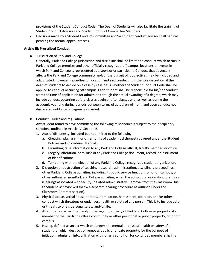provisions of the Student Conduct Code. The Dean of Students will also facilitate the training of Student Conduct Advisors and Student Conduct Committee Members

c. Decisions made by a Student Conduct Committee and/or student conduct advisor shall be final, pending the normal appeal process.

#### **Article III: Proscribed Conduct**

a. Jurisdiction of Parkland College

Generally, Parkland College jurisdiction and discipline shall be limited to conduct which occurs in Parkland College premises and other officially recognized off-campus locations or events in which Parkland College is represented as a sponsor or participant. Conduct that adversely affects the Parkland College community and/or the pursuit of it objectives may be included and adjudicated, however, regardless of location and said conduct. It is the sole discretion of the dean of students to decide on a case by case basis whether the Student Conduct Code shall be applied to conduct occurring off campus. Each student shall be responsible for his/her conduct from the time of application for admission through the actual awarding of a degree, which may include conduct occurring before classes begin or after classes end, as well as during the academic year and during periods between terms of actual enrollment, and even conduct not discovered until after a degree is awarded.

b. Conduct – Rules and regulations

Any student found to have committed the following misconduct is subject to the disciplinary sanctions outlined in Article IV, Section B.

- 1. Acts of dishonesty, included but not limited to the following:
	- a. Cheating, plagiarism, or other forms of academic dishonesty covered under the Student Policies and Procedures Manual;
	- b. Furnishing false information to any Parkland College official, faculty member, or office;
	- c. Forgery, alteration, or misuse of any Parkland College document, record, or instrument of identification;
	- d. Tampering with the election of any Parkland College recognized student organization.
- 2. Disruption or obstruction of teaching, research, administration, disciplinary proceedings, other Parkland College activities, including its public service functions on or off campus, or other authorized non-Parkland College activities, when the act occurs on Parkland premises. (Hearings associated with faculty-initiated Administrative Removal from the Classroom Due to Student Behavior will follow a separate hearing procedure as outlined under the Classroom Contract section).
- 3. Physical abuse, verbal abuse, threats, intimidation, harassment, coercion, and/or other conduct which threatens or endangers health or safety of any person. This is to include acts or threats to one's personal safety and/or life.
- 4. Attempted or actual theft and/or damage to property of Parkland College or property of a member of the Parkland College community or other personnel or public property, on or off campus.
- 5. Hazing, defined as an act which endangers the mental or physical health or safety of a student, or which destroys or removes public or private property, for the purpose of initiation, admission into, affiliation with, or as a condition for continued membership in a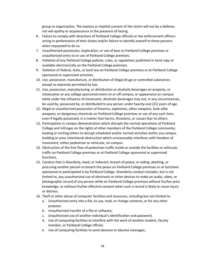group or organization. The express or implied consent of the victim will not be a defense, not will apathy or acquiescence in the presence of hazing.

- 6. Failure to comply with directions of Parkland College officials or law enforcement officers acting in performance of their duties and/or failure to identify oneself to these persons when requested to do so.
- 7. Unauthorized possession, duplication, or use of keys to Parkland College premises or unauthorized entry to or use of Parkland College premises.
- 8. Violation of any Parkland College policies, rules, or regulations published in hard copy or available electronically on the Parkland College premises.
- 9. Violation of federal, state, or local law on Parkland College premises or at Parkland College sponsored or supervised activities.
- 10. Use, possession, manufacture, or distribution of illegal drugs or controlled substances except as expressly permitted by law.
- 11. Use, possession, manufacturing, or distribution or alcoholic beverages on property, or intoxication at any college sponsored event on or off campus, or appearance on campus while under the influence of intoxicants. Alcoholic beverages may not, in any circumstances, be used by, possessed by, or distributed to any person under twenty-one (21) years of age.
- 12. Illegal or unauthorized possession of firearms, explosives, other weapons, look-alike weapons, or dangerous chemicals on Parkland College premises or use of any such item, even if legally possessed, in a matter that harms, threatens, or causes fear to others.
- 13. Participation in campus demonstration which disrupts the normal operations of Parkland College and infringes on the rights of other members of the Parkland College community; leading or inciting others to disrupt scheduled and/or normal activities within any campus building or area; intentional obstruction which unreasonably interferes with freedom of movement, either pedestrian or vehicular, on campus.
- 14. Obstruction of the free flow of pedestrian traffic inside or outside the facilities or vehicular traffic on Parkland College premises or at Parkland College sponsored or supervised functions.
- 15. Conduct that is disorderly, lewd, or indecent; breach of peace; or aiding, abetting, or procuring another person to breach the peace on Parkland College premises or at functions sponsored or participated in by Parkland College. Disorderly conduct includes, but is not limited to, any unauthorized use of electronic or other devices to make an audio, video, or photographic record of any person while on Parkland College premises without his/her prior knowledge, or without his/her effective consent when such a record is likely to cause injury or distress.
- 16. Theft or other abuse of computer facilities and resources, including but not limited to:
	- a. Unauthorized entry into a file, to use, read, or change contents, or for any other purpose;
	- b. Unauthorized transfer of a file or software;
	- c. Unauthorized use of another individual's identification and password;
	- d. Use of computing facilities to interfere with the work of another student, faculty member, or Parkland College official;
	- e. Use of computing facilities to send obscene or abusive messages;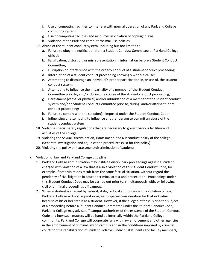- f. Use of computing facilities to interfere with normal operation of any Parkland College computing system;
- g. Use of computing facilities and resources in violation of copyright laws;
- h. Violation of the Parkland computer/e-mail use policies
- 17. Abuse of the student conduct system, including but not limited to:
	- a. Failure to obey the notification from a Student Conduct Committee or Parkland College official;
	- b. Falsification, distortion, or misrepresentation, if information before a Student Conduct Committee;
	- c. Disruption or interference with the orderly conduct of a student conduct proceeding;
	- d. Interruption of a student conduct proceeding knowingly without cause;
	- e. Attempting to discourage an individual's proper participation in, or use of, the student conduct system;
	- f. Attempting to influence the impartiality of a member of the Student Conduct Committee prior to, and/or during the course of the student conduct proceeding;
	- g. Harassment (verbal or physical) and/or intimidation of a member of the student conduct system and/or a Student Conduct Committee prior to, during, and/or after a student conduct proceeding;
	- h. Failure to comply with the sanction(s) imposed under the Student Conduct Code;
	- i. Influencing or attempting to influence another person to commit an abuse of the student conduct system
- 18. Violating special safety regulations that are necessary to govern various facilities and activities of the college.
- 19. Violating the Sexual Discrimination, Harassment, and Misconduct policy of the college (Separate investigation and adjudication procedures exist for this policy).
- 20. Violating the policy on harassment/discrimination of students.
- c. Violation of law and Parkland College discipline
	- 1. Parkland College administration may institute disciplinary proceedings against a student charged with violation of a law that is also a violation of this Student Conduct Code, for example, if both violations result from the same factual situation, without regard the pendency of civil litigation in court or criminal arrest and prosecution. Proceedings under this Student Conduct Code may be carried out prior to, simultaneously with, or following civil or criminal proceedings off campus.
	- 2. When a student is charged by federal, state, or local authorities with a violation of law, Parkland College will not request or agree to special consideration for that individual because of his or her status as a student. However, if the alleged offense is also the subject of a proceeding before a Student Conduct Committee under the Student Conduct Code, Parkland College may advise off-campus authorities of the existence of the Student Conduct Code and how such matters will be handled internally within the Parkland College community. Parkland College will cooperate fully with law enforcement and other agencies in the enforcement of criminal law on campus and in the conditions imposed by criminal courts for the rehabilitation of student violators. Individual students and faculty members,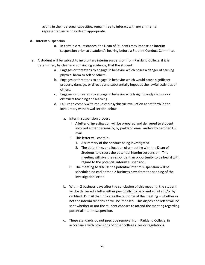acting in their personal capacities, remain free to interact with governmental representatives as they deem appropriate.

- d. Interim Suspension
	- a. In certain circumstances, the Dean of Students may impose an interim suspension prior to a student's hearing before a Student Conduct Committee.
- e. A student will be subject to involuntary interim suspension from Parkland College, if it is determined, by clear and convincing evidence, that the student:
	- a. Engages or threatens to engage in behavior which poses a danger of causing physical harm to self or others.
	- b. Engages or threatens to engage in behavior which would cause significant property damage, or directly and substantially impedes the lawful activities of others.
	- c. Engages or threatens to engage in behavior which significantly disrupts or obstructs teaching and learning.
	- d. Failure to comply with requested psychiatric evaluation as set forth in the involuntary withdrawal section below.
		- a. Interim suspension process
			- i. A letter of investigation will be prepared and delivered to student involved either personally, by parkland email and/or by certified US mail.
			- ii. This letter will contain:
				- 1. A summary of the conduct being investigated
				- 2. The date, time, and location of a meeting with the Dean of Students to discuss the potential interim suspension. This meeting will give the respondent an opportunity to be heard with regard to the potential interim suspension.
			- iii. The meeting to discuss the potential interim suspension will be scheduled no earlier than 2 business days from the sending of the investigation letter.
		- b. Within 2 business days after the conclusion of this meeting, the student will be delivered a letter either personally, by parkland email and/or by certified US mail that indicates the outcome of the meeting – whether or not the interim suspension will be imposed. This disposition letter will be sent whether or not the student chooses to attend the meeting regarding potential interim suspension.
		- c. These standards do not preclude removal from Parkland College, in accordance with provisions of other college rules or regulations.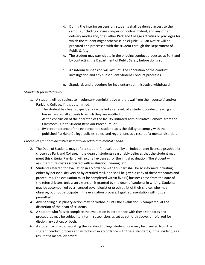- d. During the interim suspension, students shall be denied access to the campus (including classes - in-person, online, hybrid, and any other delivery mode) and/or all other Parkland College activities or privileges for which the student might otherwise be eligible. A Ban Notice will be prepared and processed with the student through the Department of Public Safety.
- e. The student may participate in the ongoing conduct processes at Parkland by contacting the Department of Public Safety before doing so.
- f. An interim suspension will last until the conclusion of the conduct investigation and any subsequent Student Conduct processes.
- g. Standards and procedure for involuntary administrative withdrawal

## *Standards for withdrawal*

- 1. A student will be subject to involuntary administrative withdrawal from their course(s) and/or Parkland College, if it is determined:
	- i. The student has been suspended or expelled as a result of a student conduct hearing and has exhausted all appeals to which they are entitled, or.
	- ii. At the conclusion of the final step of the faculty-initiated Administrative Removal from the Classroom Due to Student Behavior Procedure, or.
	- iii. By preponderance of the evidence, the student lacks the ability to comply with the published Parkland College policies, rules, and regulations as a result of a mental disorder.

## *Procedures for administrative withdrawal related to mental health*

- 2. The Dean of Students may refer a student for evaluation by an independent licensed psychiatrist chosen by Parkland College, if the dean of students reasonably believes that the student may meet this criteria. Parkland will incur all expenses for the initial evaluation. The student will assume future costs associated with evaluation, hearing, etc.
- 3. Students referred for evaluation in accordance with this part shall be so informed in writing, either by personal delivery or by certified mail, and shall be given a copy of these standards and procedures. The evaluation must be completed within five (5) business days from the date of the referral letter, unless an extension is granted by the dean of students in writing. Students may be accompanied by a licensed psychologist or psychiatrist of their choice, who may observe, but not participate in the evaluation process. Legal representation will not be permitted.
- 4. Any pending disciplinary action may be withheld until the evaluation is completed, at the discretion of the dean of students.
- 5. A student who fails to complete the evaluation in accordance with these standards and procedures may be subject to interim suspension, as set as set forth above, or referred for disciplinary action, or both.
- 6. A student accused of violating the Parkland College student code may be diverted from the student conduct process and withdrawn in accordance with these standards, if the student, as a result of a mental disorder: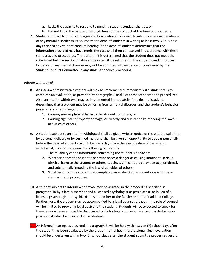- a. Lacks the capacity to respond to pending student conduct charges; or
- b. Did not know the nature or wrongfulness of the conduct at the time of the offense.
- 7. Students subject to conduct charges (section iv above) who wish to introduce relevant evidence of any mental disorder must so inform the dean of students in writing at least two (2) business days prior to any student conduct hearing. If the dean of students determines that the information provided may have merit, the case shall then be resolved in accordance with these standards and procedures. Thereafter, if it is determined that the student does not meet the criteria set forth in section IV above, the case will be returned to the student conduct process. Evidence of any mental disorder may not be admitted into evidence or considered by the Student Conduct Committee in any student conduct proceeding.

## *Interim withdrawal*

- 8. An interim administrative withdrawal may be implemented immediately if a student fails to complete an evaluation, as provided by paragraphs 5 and 6 of these standards and procedures. Also, an interim withdrawal may be implemented immediately if the dean of students determines that a student may be suffering from a mental disorder, and the student's behavior poses an imminent danger of:
	- 1. Causing serious physical harm to the students or others; or
	- 2. Causing significant property damage, or directly and substantially impeding the lawful activities of others.
- 9. A student subject to an interim withdrawal shall be given written notice of the withdrawal either by personal delivery or by certified mail, and shall be given an opportunity to appear personally before the dean of students two (2) business days from the elective date of the interim withdrawal, in order to review the following issues only:
	- 1. The reliability of the information concerning the student's behavior;
	- 2. Whether or not the student's behavior poses a danger of causing imminent, serious physical harm to the student or others, causing significant property damage, or directly and substantially impeding the lawful activities of others;
	- 3. Whether or not the student has completed an evaluation, in accordance with these standards and procedures.
- 10. A student subject to interim withdrawal may be assisted in the proceeding specified in paragraph 10 by a family member and a licensed psychologist or psychiatrist, or in lieu of a licensed psychologist or psychiatrist, by a member of the faculty or staff of Parkland College. Furthermore, the student may be accompanied by a legal counsel, although the role of counsel will be limited to providing legal advice to the student. Students will be expected to speak for themselves whenever possible. Associated costs for legal counsel or licensed psychologists or psychiatrists shall be incurred by the student.
- 11. An informal hearing, as provided in paragraph 3, will be held within seven (7) school days after the student has been evaluated by the proper mental health professional. Such evaluation should be undertaken within two (2) school days after the student submits a proper request for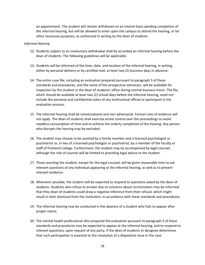an appointment. The student will remain withdrawn on an interim basis pending completion of the informal hearing, but will be allowed to enter upon the campus to attend the hearing, or for other necessary purposes, as authorized in writing by the dean of students.

#### *Informal Hearing*

- 12. Students subject to an involuntary withdrawal shall be accorded an informal hearing before the dean of students. The following guidelines will be applicable.
- 13. Students will be informed of the time, date, and location of the informal hearing, in writing, either by personal delivery or by certified mail, at least two (2) business days in advance.
- 14. The entire case file, including an evaluation prepared pursuant to paragraph 5 of these standards and procedures, and the name of the prospective witnesses, will be available for inspection by the student in the dean of students' office during normal business hours. The file, which should be available at least two (2) school days before the informal hearing, need not include the personal and confidential notes of any institutional official or participant in the evaluation process.
- 15. The informal hearing shall be conversational and non-adversarial. Formal rules of evidence will not apply. The dean of students shall exercise active control over the proceedings to avoid needless consumption of time and to achieve the orderly completion of the hearing. Any person who disrupts the hearing may be excluded.
- 16. The student may choose to be assisted by a family member and a licensed psychologist or psychiatrist or, in lieu of a licensed psychologist or psychiatrist, by a member of the faculty or staff of Parkland College. Furthermore, the student may be accompanied by legal counsel, although the role of counsel will be limited to providing legal advice to the student.
- 17. Those assisting the student, except for the legal counsel, will be given reasonable time to ask relevant questions of any individual appearing at the informal hearing, as well as to present relevant evidence.
- 18. Whenever possible, the student will be expected to respond to questions asked by the dean of students. Students who refuse to answer due to concerns about incrimination may be informed that they dean of students could draw a negative inference from their refusal, which might result in their dismissal from the institution, in accordance with these standards and procedures.
- 19. The informal hearing may be conducted in the absence of a student who fails to appear after proper notice.
- 20. The mental health professional who prepared the evaluation pursuant to paragraph 5 of these standards and procedures may be expected to appear at the informal hearing, and to respond to relevant questions, upon request of any party, if the dean of students or designee determines that such participation is essential to the resolution of a dispositive issue in the case.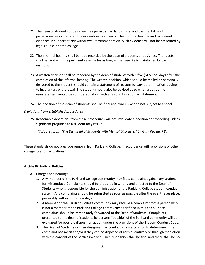- 21. The dean of students or designee may permit a Parkland official and the mental health professional who prepared the evaluation to appear at the informal hearing and to present evidence in support of any withdrawal recommendation. Such evidence will not be presented by legal counsel for the college.
- 22. The informal hearing shall be tape recorded by the dean of students or designee. The tape(s) shall be kept with the pertinent case file for as long as the case file is maintained by the institution.
- 23. A written decision shall be rendered by the dean of students within five (5) school days after the completion of the informal hearing. The written decision, which should be mailed or personally delivered to the student, should contain a statement of reasons for any determination leading to involuntary withdrawal. The student should also be advised as to when a petition for reinstatement would be considered, along with any conditions for reinstatement.
- 24. The decision of the dean of students shall be final and conclusive and not subject to appeal.

## *Deviations from established procedures*

25. Reasonable deviations from these procedures will not invalidate a decision or proceeding unless significant prejudice to a student may result.

*\*Adapted from "The Dismissal of Students with Mental Disorders," by Gary Pavela, J.D.*

These standards do not preclude removal from Parkland College, in accordance with provisions of other college rules or regulations.

## **Article IV: Judicial Policies**

- A. Charges and hearings
	- 1. Any member of the Parkland College community may file a complaint against any student for misconduct. Complaints should be prepared in writing and directed to the Dean of Students who is responsible for the administration of the Parkland College student conduct system. Any complaints should be submitted as soon as possible after the event takes place, preferably within 5 business days.
	- 2. A member of the Parkland College community may receive a complaint from a person who is not a member of the Parkland College community as defined in this code. Those complaints should be immediately forwarded to the Dean of Students. Complaints presented to the dean of students by persons "outside" of the Parkland community will be evaluated for possible disposition action under the provisions of the Student Conduct Code.
	- 3. The Dean of Students or their designee may conduct an investigation to determine if the complaint has merit and/or if they can be disposed of administratively or through mediation with the consent of the parties involved. Such disposition shall be final and there shall be no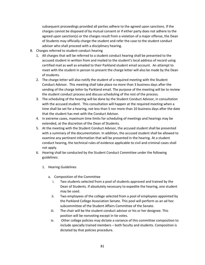subsequent proceedings provided all parties adhere to the agreed upon sanctions. If the charges cannot be disposed of by mutual consent or if either party does not adhere to the agreed upon sanction(s) or the charges result from a violation of a major offense, the Dean of Students may officially charge the student and refer the case to the student conduct advisor who shall proceed with a disciplinary hearing.

- B. Charges referred to student conduct hearing
	- 1. All charges that will be referred to a student conduct hearing shall be presented to the accused student in written from and mailed to the student's local address of record using certified mail as well as emailed to their Parkland student email account. An attempt to meet with the student in person to present the charge letter will also be made by the Dean of students.
	- 2. The charge letter will also notify the student of a required meeting with the Student Conduct Advisor. This meeting shall take place no more than 3 business days after the sending of the charge letter by Parkland email. The purpose of the meeting will be to review the student conduct process and discuss scheduling of the rest of the process.
	- 3. The scheduling of the hearing will be done by the Student Conduct Advisor, in consultation with the accused student. This consultation will happen at the required meeting when a time shall be set for a hearing, not less than 5 nor more than 10 business days after the date that the student has met with the Conduct Advisor.
	- 4. In extreme cases, maximum time limits for scheduling of meetings and hearings may be extended, at the discretion of the Dean of Students.
	- 5. At the meeting with the Student Conduct Advisor, the accused student shall be presented with a summary of the documentation. In addition, the accused student shall be allowed to examine any pertinent information that will be presented in the hearing. At a student conduct hearing, the technical rules of evidence applicable to civil and criminal cases shall not apply.
	- 6. Hearing shall be conducted by the Student Conduct Committee under the following guidelines:
		- 1. Hearing Guidelines
			- a. Composition of the Committee
				- i. Two students selected from a pool of students approved and trained by the Dean of Students. If absolutely necessary to expedite the hearing, one student may be used.
				- ii. Two employees of the college selected from a pool of employees appointed by the Parkland College Association Senate. This pool will perform as an ad hoc subcommittee of the Student Affairs Committee of the Senate.
				- iii. The chair will be the student conduct advisor or his or her designee. This position will be nonvoting except in tie votes.
				- iv. Other college policies may dictate a variance of this committee composition to include specially trained members – both faculty and students. Composition is dictated by that policies procedure.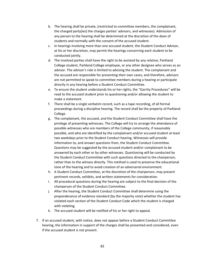- b. The hearing shall be private, (restricted to committee members, the complainant, the charged party(ies) the charges parties' advisors, and witnesses). Admission of any person to the hearing shall be determined at the discretion of the dean of students and normally with the consent of the accused student.
- c. In hearings involving more than one accused student, the Student Conduct Advisor, at his or her discretion, may permit the hearings concerning each student to be conducted jointly.
- d. The involved parties shall have the right to be assisted by any relative, Parkland College student, Parkland College employee, or any other designee who serves as an advisor. The advisor's role is limited to advising the student. The complainant and the accused are responsible for presenting their own cases, and therefore, advisors are not permitted to speak to committee members during a hearing or participate directly in any hearing before a Student Conduct Committee.
- e. To ensure the student understands his or her rights, the "Garrity Procedures" will be read to the accused student prior to questioning and/or allowing the student to make a statement.
- f. There shall be a single verbatim record, such as a tape recording, of all formal proceedings during a discipline hearing. The record shall be the property of Parkland College.
- g. The complainant, the accused, and the Student Conduct Committee shall have the privilege of presenting witnesses. The College will try to arrange the attendance of possible witnesses who are members of the College community, if reasonably possible, and who are identified by the complainant and/or accused student at least two weekdays prior to the Student Conduct hearing. Witnesses will provide information to, and answer questions from, the Student Conduct Committee. Questions may be suggested by the accused student and/or complainant to be answered by each other or by other witnesses. Questioning will be conducted by the Student Conduct Committee with such questions directed to the chairperson, rather than to the witness directly. This method is used to preserve the educational tone of the hearing and to avoid creation of an adversarial environment.
- h. A Student Conduct Committee, at the discretion of the chairperson, may present pertinent records, exhibits, and written statements for consideration.
- i. All procedural questions during the hearing are subject to the final decision of the chairperson of the Student Conduct Committee.
- j. After the hearing, the Student Conduct Committee shall determine using the preponderance of evidence standard (by the majority vote) whether the student has violated each section of the Student Conduct Code which the student is charged with violating.
- k. The accused student will be notified of his or her right to appeal.
- 7. If an accused student, with notice, does not appear before a Student Conduct Committee hearing, the information in support of the charges shall be presented and considered, even if the accused student is not present.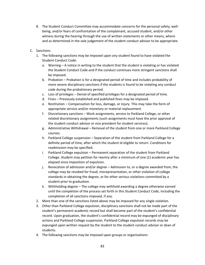- 8. The Student Conduct Committee may accommodate concerns for the personal safety, wellbeing, and/or fears of confrontation of the complainant, accused student, and/or other witness during the hearing through the use of written statements or other means, where and as determined in the sole judgement of the student conduct advisor to be appropriate.
- C. Sanctions
	- 1. The following sanctions may be imposed upon any student found to have violated the Student Conduct Code:
		- a. Warning A notice in writing to the student that the student is violating or has violated the Student Conduct Code and if the conduct continues more stringent sanctions shall be imposed.
		- b. Probation Probation is for a designated period of time and includes probability of more severe disciplinary sanctions if the students is found to be violating any conduct code during the probationary period.
		- c. Loss of privileges Denial of specified privileges for a designated period of time.
		- d. Fines Previously established and published fines may be imposed.
		- e. Restitution Compensation for loss, damage, or injury. This may take the form of appropriate service and/or monetary or material replacement.
		- f. Discretionary sanctions Work assignments, service to Parkland College, or other related discretionary assignments (such assignments must have the prior approval of the student conduct advisor or vice president for student services).
		- g. Administrative Withdrawal Removal of the student from one or more Parkland College courses.
		- h. Parkland College suspension Separation of the student from Parkland College for a definite period of time, after which the student id eligible to return. Conditions for readmission may be specified.
		- i. Parkland College expulsion Permanent separation of the student from Parkland College. Student may petition for reentry after a minimum of one (1) academic year has elapsed since imposition of expulsion.
		- j. Revocation of admission and/or degree Admission to, or a degree awarded from, the college may be revoked for fraud, misrepresentation, or other violation of college standards in obtaining the degree, or for other serious violations committed by a student prior to graduation.
		- k. Withholding degree The college may withhold awarding a degree otherwise earned until the completion of the process set forth in this Student Conduct Code, including the completion of all sanctions imposed, if any.
	- 2. More than one of the sanctions listed above may be imposed for any single violation.
	- 3. Other than Parkland College expulsion, disciplinary sanctions shall not be made part of the student's permanent academic record but shall become part of the student's confidential record. Upon graduation, the student's confidential record may be expunged of disciplinary actions and Parkland College suspension. Parkland College expulsion records may be expunged upon written request by the student to the student conduct advisor or dean of students.
	- 4. The following sanctions may be imposed upon groups or organizations: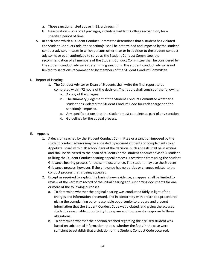- a. Those sanctions listed above in B1, a through f.
- b. Deactivation Loss of all privileges, including Parkland College recognition, for a specified period of time.
- 5. In each case which a Student Conduct Committee determines that a student has violated the Student Conduct Code, the sanction(s) shall be determined and imposed by the student conduct advisor. In cases in which persons other than or in addition to the student conduct advisor have been authorized to serve as the Student Conduct Committee, the recommendation of all members of the Student Conduct Committee shall be considered by the student conduct advisor in determining sanctions. The student conduct advisor is not limited to sanctions recommended by members of the Student Conduct Committee.

## D. Report of Hearing

- 1. The Conduct Advisor or Dean of Students shall write the final report to be completed within 72 hours of the decision. The report shall consist of the following:
	- a. A copy of the charges.
	- b. The summary judgement of the Student Conduct Committee whether a student has violated the Student Conduct Code for each charge and the sanction(s) imposed.
	- c. Any specific actions that the student must complete as part of any sanction.
	- d. Guidelines for the appeal process.

## E. Appeals

- 1. A decision reached by the Student Conduct Committee or a sanction imposed by the student conduct advisor may be appealed by accused students or complainants to an Appellate Board within 10 school days of the decision. Such appeals shall be in writing and shall be delivered to the dean of students or the student conduct advisor. A student utilizing the Student Conduct hearing appeal process is restricted from using the Student Grievance hearing process for the same occurrence. The student may use the Student Grievance process, however, if the grievance has no parties or changes related to the conduct process that is being appealed.
- 2. Except as required to explain the basis of new evidence, an appeal shall be limited to review of the verbatim record of the initial hearing and supporting documents for one or more of the following purposes.
	- a. To determine whether the original hearing was conducted fairly in light of the charges and information presented, and in conformity with prescribed procedures giving the complaining party reasonable opportunity to prepare and present information that the Student Conduct Code was violated, and giving the accused student a reasonable opportunity to prepare and to present a response to those allegations.
	- b. To determine whether the decision reached regarding the accused student was based on substantial information; that is, whether the facts in the case were sufficient to establish that a violation of the Student Conduct Code occurred.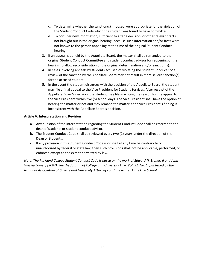- c. To determine whether the sanction(s) imposed were appropriate for the violation of the Student Conduct Code which the student was found to have committed.
- d. To consider new information, sufficient to alter a decision, or other relevant facts not brought out in the original hearing, because such information and/or facts were not known to the person appealing at the time of the original Student Conduct hearing.
- 3. If an appeal is upheld by the Appellate Board, the matter shall be remanded to the original Student Conduct Committee and student conduct advisor for reopening of the hearing to allow reconsideration of the original determination and/or sanction(s).
- 4. In cases involving appeals by students accused of violating the Student Conduct Code, review of the sanction by the Appellate Board may not result in more severe sanction(s) for the accused student.
- 5. In the event the student disagrees with the decision of the Appellate Board, the student may file a final appeal to the Vice President for Student Services. After receipt of the Appellate Board's decision, the student may file in writing the reason for the appeal to the Vice President within five (5) school days. The Vice President shall have the option of hearing the matter or not and may remand the matter if the Vice President's finding is inconsistent with the Appellate Board's decision.

## **Article V: Interpretation and Revision**

- a. Any question of the interpretation regarding the Student Conduct Code shall be referred to the dean of students or student conduct advisor.
- b. The Student Conduct Code shall be reviewed every two (2) years under the direction of the Dean of Students.
- c. If any provision in this Student Conduct Code is or shall at any time be contrary to or unauthorized by federal or state law, then such provisions shall not be applicable, performed, or enforced except to the extent permitted by law.

*Note: The Parkland College Student Conduct Code is based on the work of Edward N. Stoner, II and John Wesley Lowery (2004). See the Journal of College and University Law, Vol. 31, No. 1, published by the National Association of College and University Attorneys and the Notre Dame Law School.*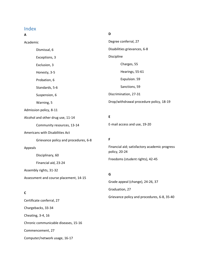# Index

### **A**

**D**

Academic Dismissal, 6 Exceptions, 3 Exclusion, 3 Honesty, 3-5 Probation, 6 Standards, 5-6 Suspension, 6 Warning, 5 Admission policy, 8-11 Alcohol and other drug use, 11-14 Community resources, 13-14 Americans with Disabilities Act Grievance policy and procedures, 6-8 Appeals Disciplinary, 60 Financial aid, 23-24 Assembly rights, 31-32 Assessment and course placement, 14-15 **C** Degree conferral, 27 Disabilities grievances, 6-8 Discipline Charges, 55 Hearings, 55-61 Expulsion. 59 Sanctions, 59 Discrimination, 27-31 Drop/withdrawal procedure policy, 18-19 **E** E-mail access and use, 19-20 **F** Financial aid; satisfactory academic progress policy, 20-24 Freedoms (student rights), 42-45 **G** Grade appeal (change), 24-26, 37 Graduation, 27 Grievance policy and procedures, 6-8, 35-40

# Certificate conferral, 27 Chargebacks, 33-34 Cheating, 3-4, 16 Chronic communicable diseases, 15-16 Commencement, 27 Computer/network usage, 16-17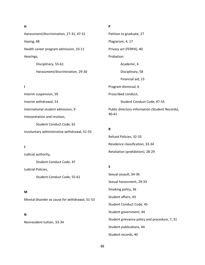#### **H**

Harassment/discrimination, 27-31, 47-51 Hazing, 48 Health career program admission, 10-11 Hearings, Disciplinary, 55-61

Harassment/discrimination, 29-30

#### **I**

Interim suspension, 59 Interim withdrawal, 53 International student admission, 9 Interpretation and revision, Student Conduct Code, 61 Involuntary administrative withdrawal, 51-55

#### **J**

Judicial authority, Student Conduct Code, 47 Judicial Policies,

Student Conduct Code, 55-61

#### **M**

Mental disorder as cause for withdrawal, 51-53

#### **N**

Nonresident tuition, 33-34

## **P**

Petition to graduate, 27 Plagiarism, 4, 17 Privacy act (FERPA), 40 Probation: Academic, 6 Disciplinary, 58 Financial aid, 23 Program dismissal, 6 Proscribed conduct, Student Conduct Code, 47-55 Public directory information (Student Records), 40-41

#### **R**

Refund Policies, 32-33 Residence classification, 33-34 Retaliation (prohibition), 28-29

#### **S**

Sexual assault, 34-36 Sexual harassment, 29-33 Smoking policy, 36 Student affairs, 43 Student Conduct Code, 45 Student government, 44 Student grievance policy and procedure, 7, 31 Student publications, 44 Student records, 40